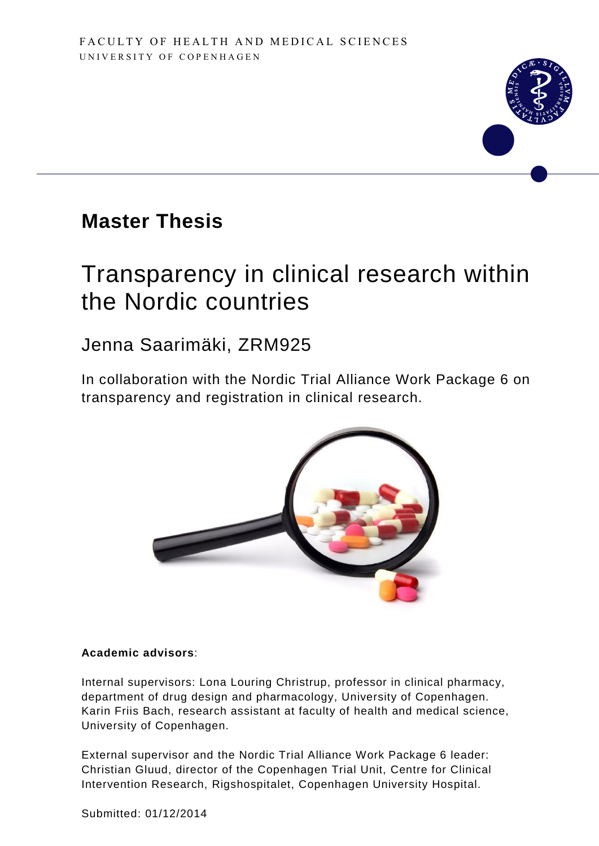

# **Master Thesis**

# Transparency in clinical research within the Nordic countries

# Jenna Saarimäki, ZRM925

In collaboration with the Nordic Trial Alliance Work Package 6 on transparency and registration in clinical research.



# **Academic advisors**:

Internal supervisors: Lona Louring Christrup, professor in clinical pharmacy, department of drug design and pharmacology, University of Copenhagen. Karin Friis Bach, research assistant at faculty of health and medical science, University of Copenhagen.

External supervisor and the Nordic Trial Alliance Work Package 6 leader: Christian Gluud, director of the Copenhagen Trial Unit, Centre for Clinical Intervention Research, Rigshospitalet, Copenhagen University Hospital.

Submitted: 01/12/2014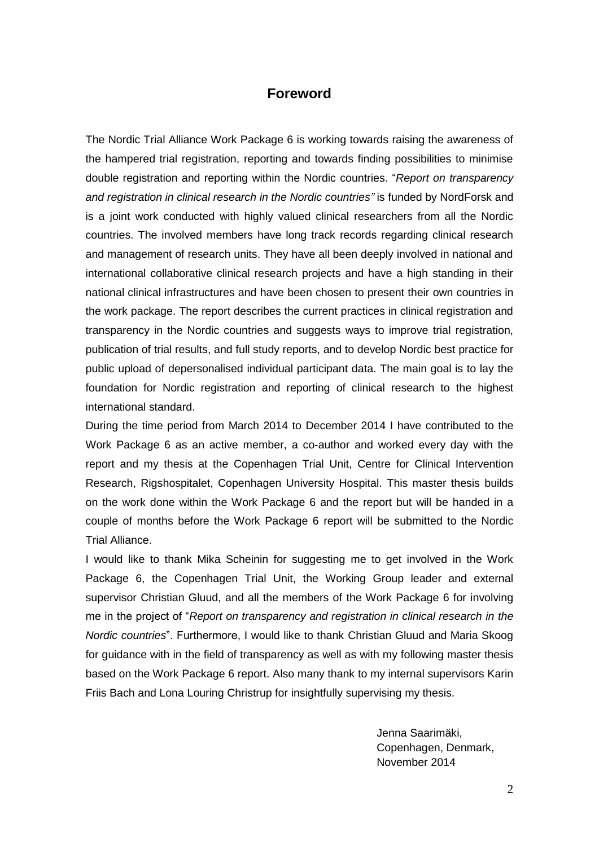# **Foreword**

The Nordic Trial Alliance Work Package 6 is working towards raising the awareness of the hampered trial registration, reporting and towards finding possibilities to minimise double registration and reporting within the Nordic countries. "*Report on transparency and registration in clinical research in the Nordic countries"* is funded by NordForsk and is a joint work conducted with highly valued clinical researchers from all the Nordic countries. The involved members have long track records regarding clinical research and management of research units. They have all been deeply involved in national and international collaborative clinical research projects and have a high standing in their national clinical infrastructures and have been chosen to present their own countries in the work package. The report describes the current practices in clinical registration and transparency in the Nordic countries and suggests ways to improve trial registration, publication of trial results, and full study reports, and to develop Nordic best practice for public upload of depersonalised individual participant data. The main goal is to lay the foundation for Nordic registration and reporting of clinical research to the highest international standard.

During the time period from March 2014 to December 2014 I have contributed to the Work Package 6 as an active member, a co-author and worked every day with the report and my thesis at the Copenhagen Trial Unit, Centre for Clinical Intervention Research, Rigshospitalet, Copenhagen University Hospital. This master thesis builds on the work done within the Work Package 6 and the report but will be handed in a couple of months before the Work Package 6 report will be submitted to the Nordic Trial Alliance.

I would like to thank Mika Scheinin for suggesting me to get involved in the Work Package 6, the Copenhagen Trial Unit, the Working Group leader and external supervisor Christian Gluud, and all the members of the Work Package 6 for involving me in the project of "*Report on transparency and registration in clinical research in the Nordic countries*". Furthermore, I would like to thank Christian Gluud and Maria Skoog for guidance with in the field of transparency as well as with my following master thesis based on the Work Package 6 report. Also many thank to my internal supervisors Karin Friis Bach and Lona Louring Christrup for insightfully supervising my thesis.

> Jenna Saarimäki, Copenhagen, Denmark, November 2014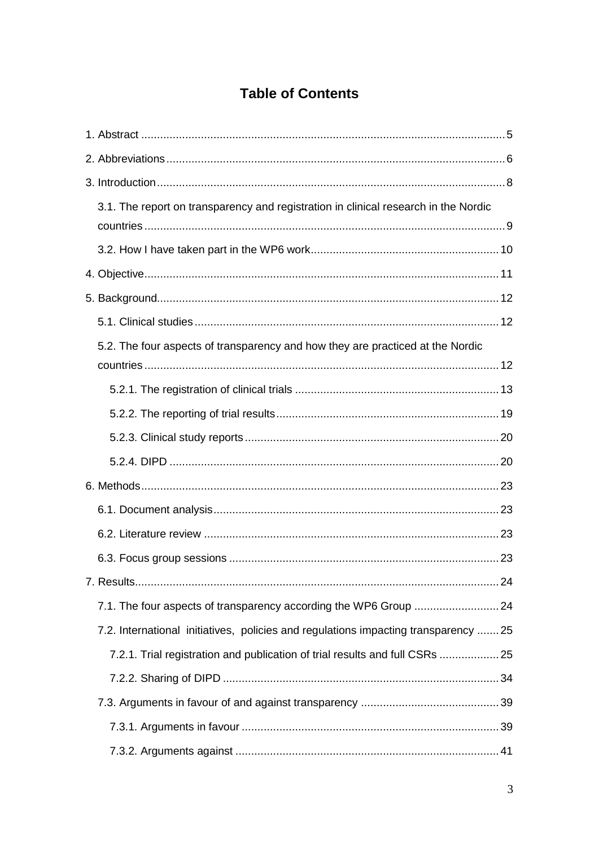# **Table of Contents**

| 3.1. The report on transparency and registration in clinical research in the Nordic |  |
|-------------------------------------------------------------------------------------|--|
|                                                                                     |  |
|                                                                                     |  |
|                                                                                     |  |
|                                                                                     |  |
| 5.2. The four aspects of transparency and how they are practiced at the Nordic      |  |
|                                                                                     |  |
|                                                                                     |  |
|                                                                                     |  |
|                                                                                     |  |
|                                                                                     |  |
|                                                                                     |  |
|                                                                                     |  |
|                                                                                     |  |
|                                                                                     |  |
|                                                                                     |  |
| 7.1. The four aspects of transparency according the WP6 Group  24                   |  |
| 7.2. International initiatives, policies and regulations impacting transparency  25 |  |
| 7.2.1. Trial registration and publication of trial results and full CSRs  25        |  |
|                                                                                     |  |
|                                                                                     |  |
|                                                                                     |  |
|                                                                                     |  |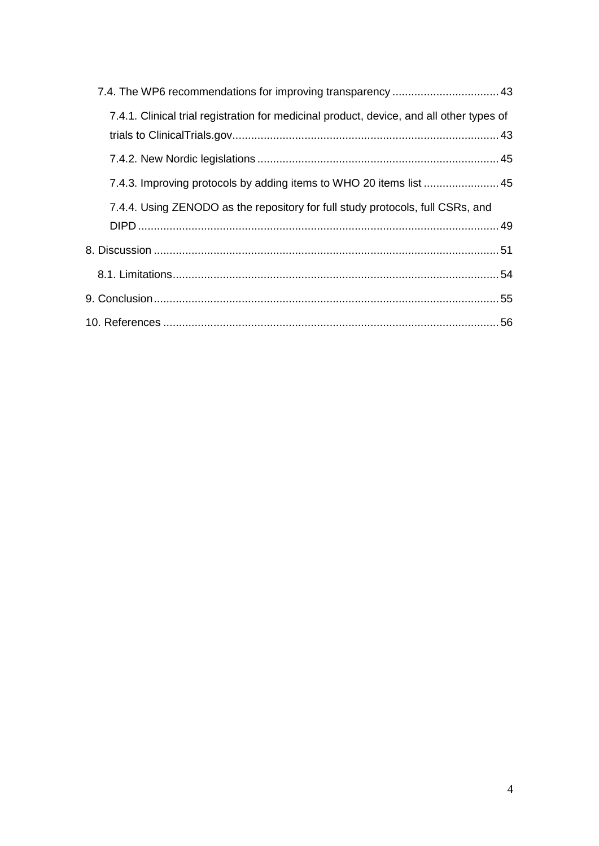| 7.4.1. Clinical trial registration for medicinal product, device, and all other types of |
|------------------------------------------------------------------------------------------|
|                                                                                          |
| 7.4.3. Improving protocols by adding items to WHO 20 items list 45                       |
| 7.4.4. Using ZENODO as the repository for full study protocols, full CSRs, and           |
|                                                                                          |
|                                                                                          |
|                                                                                          |
|                                                                                          |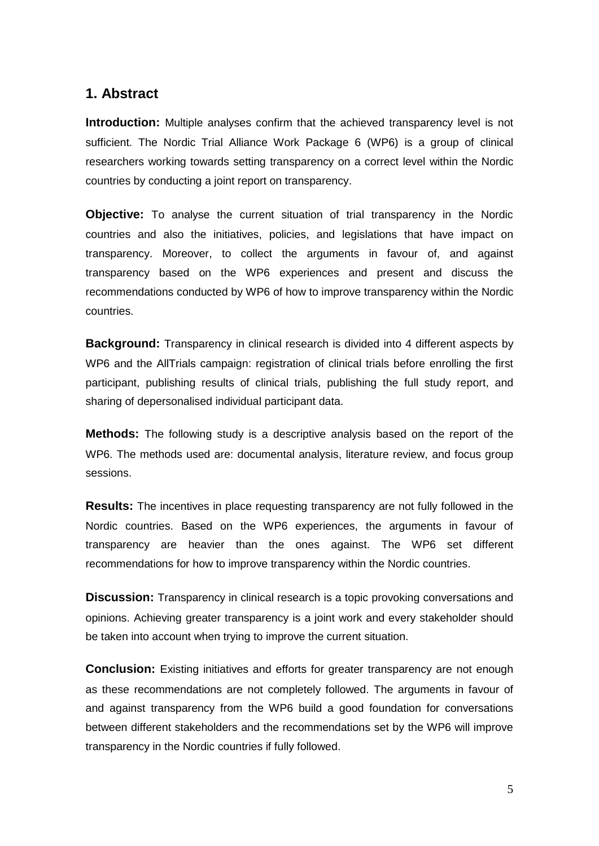# <span id="page-4-0"></span>**1. Abstract**

**Introduction:** Multiple analyses confirm that the achieved transparency level is not sufficient. The Nordic Trial Alliance Work Package 6 (WP6) is a group of clinical researchers working towards setting transparency on a correct level within the Nordic countries by conducting a joint report on transparency.

**Objective:** To analyse the current situation of trial transparency in the Nordic countries and also the initiatives, policies, and legislations that have impact on transparency. Moreover, to collect the arguments in favour of, and against transparency based on the WP6 experiences and present and discuss the recommendations conducted by WP6 of how to improve transparency within the Nordic countries.

**Background:** Transparency in clinical research is divided into 4 different aspects by WP6 and the AllTrials campaign: registration of clinical trials before enrolling the first participant, publishing results of clinical trials, publishing the full study report, and sharing of depersonalised individual participant data.

**Methods:** The following study is a descriptive analysis based on the report of the WP6. The methods used are: documental analysis, literature review, and focus group sessions.

**Results:** The incentives in place requesting transparency are not fully followed in the Nordic countries. Based on the WP6 experiences, the arguments in favour of transparency are heavier than the ones against. The WP6 set different recommendations for how to improve transparency within the Nordic countries.

**Discussion:** Transparency in clinical research is a topic provoking conversations and opinions. Achieving greater transparency is a joint work and every stakeholder should be taken into account when trying to improve the current situation.

**Conclusion:** Existing initiatives and efforts for greater transparency are not enough as these recommendations are not completely followed. The arguments in favour of and against transparency from the WP6 build a good foundation for conversations between different stakeholders and the recommendations set by the WP6 will improve transparency in the Nordic countries if fully followed.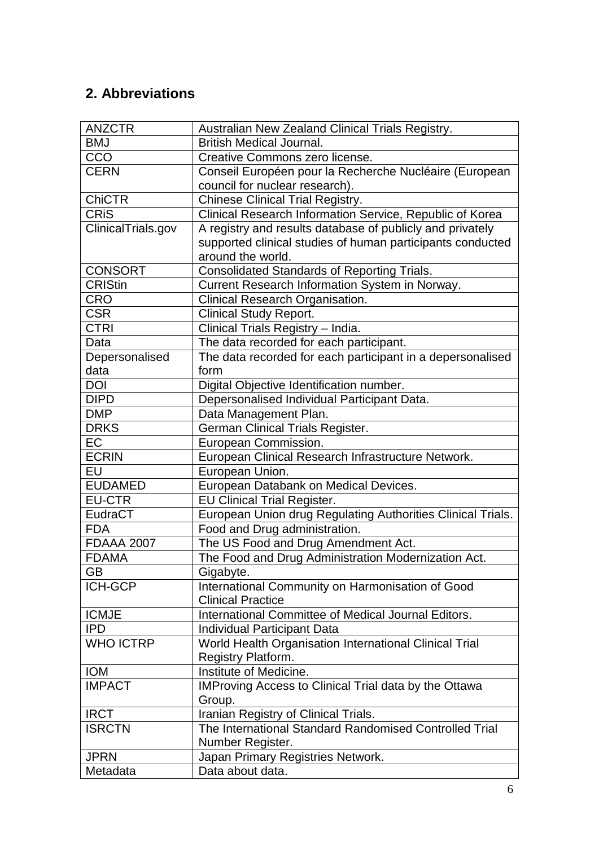# <span id="page-5-0"></span>**2. Abbreviations**

| <b>ANZCTR</b>      | Australian New Zealand Clinical Trials Registry.             |
|--------------------|--------------------------------------------------------------|
| <b>BMJ</b>         | <b>British Medical Journal.</b>                              |
| CCO                | Creative Commons zero license.                               |
| <b>CERN</b>        | Conseil Européen pour la Recherche Nucléaire (European       |
|                    | council for nuclear research).                               |
| <b>ChiCTR</b>      | <b>Chinese Clinical Trial Registry.</b>                      |
| <b>CRIS</b>        | Clinical Research Information Service, Republic of Korea     |
| ClinicalTrials.gov | A registry and results database of publicly and privately    |
|                    | supported clinical studies of human participants conducted   |
|                    | around the world.                                            |
| <b>CONSORT</b>     | <b>Consolidated Standards of Reporting Trials.</b>           |
| <b>CRIStin</b>     | Current Research Information System in Norway.               |
| <b>CRO</b>         | Clinical Research Organisation.                              |
| <b>CSR</b>         | <b>Clinical Study Report.</b>                                |
| <b>CTRI</b>        | Clinical Trials Registry - India.                            |
| Data               | The data recorded for each participant.                      |
| Depersonalised     | The data recorded for each participant in a depersonalised   |
| data               | form                                                         |
| <b>DOI</b>         | Digital Objective Identification number.                     |
| <b>DIPD</b>        | Depersonalised Individual Participant Data.                  |
| <b>DMP</b>         |                                                              |
| <b>DRKS</b>        | Data Management Plan.                                        |
|                    | German Clinical Trials Register.                             |
| <b>EC</b>          | European Commission.                                         |
| <b>ECRIN</b>       | European Clinical Research Infrastructure Network.           |
| EU                 | European Union.                                              |
| <b>EUDAMED</b>     | European Databank on Medical Devices.                        |
| <b>EU-CTR</b>      | <b>EU Clinical Trial Register.</b>                           |
| EudraCT            | European Union drug Regulating Authorities Clinical Trials.  |
| <b>FDA</b>         | Food and Drug administration.                                |
| <b>FDAAA 2007</b>  | The US Food and Drug Amendment Act.                          |
| <b>FDAMA</b>       | The Food and Drug Administration Modernization Act.          |
| <b>GB</b>          | Gigabyte.                                                    |
| <b>ICH-GCP</b>     | International Community on Harmonisation of Good             |
|                    | <b>Clinical Practice</b>                                     |
| <b>ICMJE</b>       | International Committee of Medical Journal Editors.          |
| <b>IPD</b>         | Individual Participant Data                                  |
| <b>WHO ICTRP</b>   | World Health Organisation International Clinical Trial       |
|                    | Registry Platform.                                           |
| <b>IOM</b>         | Institute of Medicine.                                       |
| <b>IMPACT</b>      | <b>IMProving Access to Clinical Trial data by the Ottawa</b> |
|                    | Group.                                                       |
| <b>IRCT</b>        | Iranian Registry of Clinical Trials.                         |
| <b>ISRCTN</b>      | The International Standard Randomised Controlled Trial       |
|                    | Number Register.                                             |
| <b>JPRN</b>        | Japan Primary Registries Network.                            |
| Metadata           | Data about data.                                             |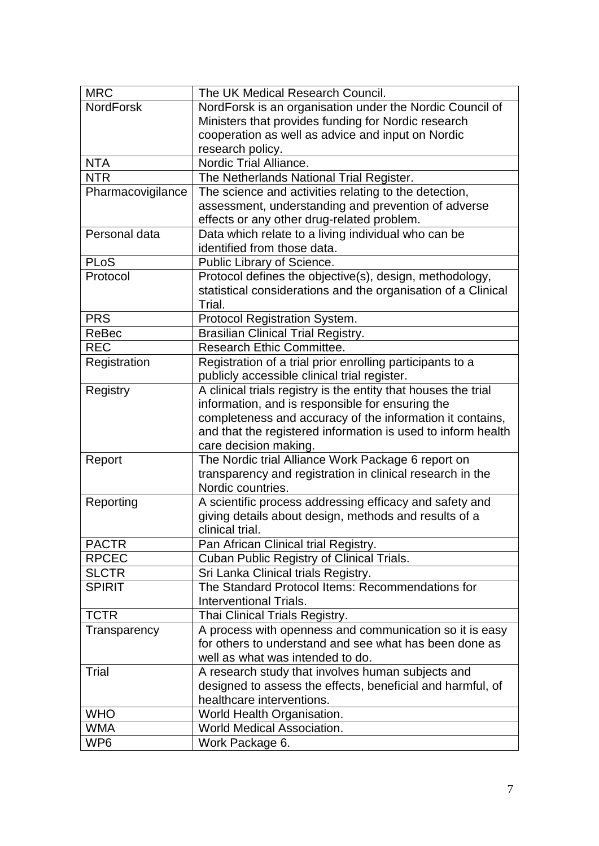| <b>MRC</b>        | The UK Medical Research Council.                               |  |  |
|-------------------|----------------------------------------------------------------|--|--|
| <b>NordForsk</b>  | NordForsk is an organisation under the Nordic Council of       |  |  |
|                   | Ministers that provides funding for Nordic research            |  |  |
|                   | cooperation as well as advice and input on Nordic              |  |  |
|                   | research policy.                                               |  |  |
| <b>NTA</b>        | Nordic Trial Alliance.                                         |  |  |
| <b>NTR</b>        | The Netherlands National Trial Register.                       |  |  |
| Pharmacovigilance | The science and activities relating to the detection,          |  |  |
|                   | assessment, understanding and prevention of adverse            |  |  |
|                   | effects or any other drug-related problem.                     |  |  |
| Personal data     | Data which relate to a living individual who can be            |  |  |
|                   | identified from those data.                                    |  |  |
| <b>PLoS</b>       | Public Library of Science.                                     |  |  |
| Protocol          | Protocol defines the objective(s), design, methodology,        |  |  |
|                   | statistical considerations and the organisation of a Clinical  |  |  |
|                   | Trial.                                                         |  |  |
| <b>PRS</b>        | Protocol Registration System.                                  |  |  |
| ReBec             | <b>Brasilian Clinical Trial Registry.</b>                      |  |  |
| <b>REC</b>        | Research Ethic Committee.                                      |  |  |
| Registration      | Registration of a trial prior enrolling participants to a      |  |  |
|                   | publicly accessible clinical trial register.                   |  |  |
| Registry          | A clinical trials registry is the entity that houses the trial |  |  |
|                   | information, and is responsible for ensuring the               |  |  |
|                   | completeness and accuracy of the information it contains,      |  |  |
|                   | and that the registered information is used to inform health   |  |  |
|                   | care decision making.                                          |  |  |
| Report            | The Nordic trial Alliance Work Package 6 report on             |  |  |
|                   | transparency and registration in clinical research in the      |  |  |
|                   | Nordic countries.                                              |  |  |
| Reporting         | A scientific process addressing efficacy and safety and        |  |  |
|                   | giving details about design, methods and results of a          |  |  |
|                   | clinical trial.                                                |  |  |
| <b>PACTR</b>      | Pan African Clinical trial Registry.                           |  |  |
| <b>RPCEC</b>      | Cuban Public Registry of Clinical Trials.                      |  |  |
| <b>SLCTR</b>      | Sri Lanka Clinical trials Registry.                            |  |  |
| <b>SPIRIT</b>     | The Standard Protocol Items: Recommendations for               |  |  |
|                   | Interventional Trials.                                         |  |  |
| <b>TCTR</b>       | Thai Clinical Trials Registry.                                 |  |  |
| Transparency      | A process with openness and communication so it is easy        |  |  |
|                   | for others to understand and see what has been done as         |  |  |
|                   | well as what was intended to do.                               |  |  |
| Trial             | A research study that involves human subjects and              |  |  |
|                   | designed to assess the effects, beneficial and harmful, of     |  |  |
|                   | healthcare interventions.                                      |  |  |
| <b>WHO</b>        | World Health Organisation.                                     |  |  |
| <b>WMA</b>        | <b>World Medical Association.</b>                              |  |  |
| WP <sub>6</sub>   | Work Package 6.                                                |  |  |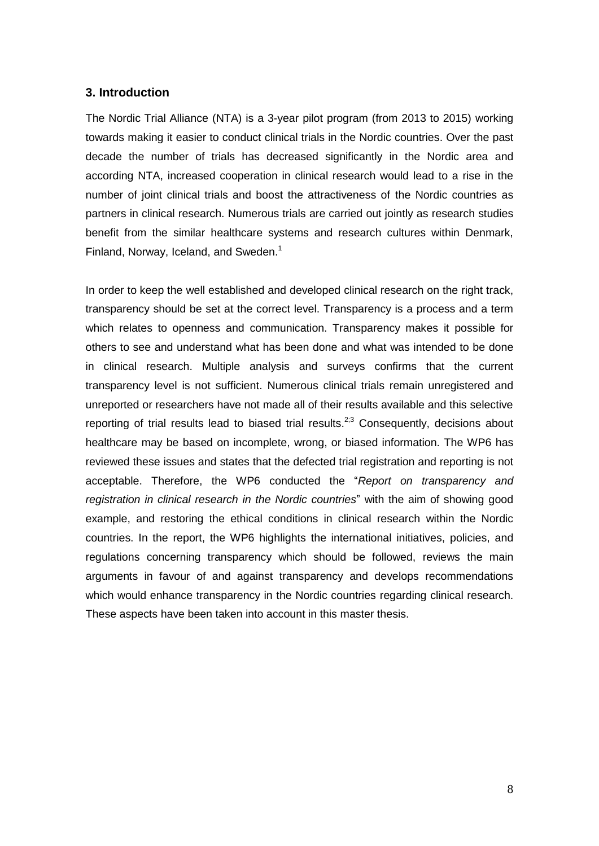# <span id="page-7-0"></span>**3. Introduction**

The Nordic Trial Alliance (NTA) is a 3-year pilot program (from 2013 to 2015) working towards making it easier to conduct clinical trials in the Nordic countries. Over the past decade the number of trials has decreased significantly in the Nordic area and according NTA, increased cooperation in clinical research would lead to a rise in the number of joint clinical trials and boost the attractiveness of the Nordic countries as partners in clinical research. Numerous trials are carried out jointly as research studies benefit from the similar healthcare systems and research cultures within Denmark, Finland, Norway, Iceland, and Sweden.<sup>1</sup>

In order to keep the well established and developed clinical research on the right track, transparency should be set at the correct level. Transparency is a process and a term which relates to openness and communication. Transparency makes it possible for others to see and understand what has been done and what was intended to be done in clinical research. Multiple analysis and surveys confirms that the current transparency level is not sufficient. Numerous clinical trials remain unregistered and unreported or researchers have not made all of their results available and this selective reporting of trial results lead to biased trial results.<sup>2;3</sup> Consequently, decisions about healthcare may be based on incomplete, wrong, or biased information. The WP6 has reviewed these issues and states that the defected trial registration and reporting is not acceptable. Therefore, the WP6 conducted the "*Report on transparency and registration in clinical research in the Nordic countries*" with the aim of showing good example, and restoring the ethical conditions in clinical research within the Nordic countries. In the report, the WP6 highlights the international initiatives, policies, and regulations concerning transparency which should be followed, reviews the main arguments in favour of and against transparency and develops recommendations which would enhance transparency in the Nordic countries regarding clinical research. These aspects have been taken into account in this master thesis.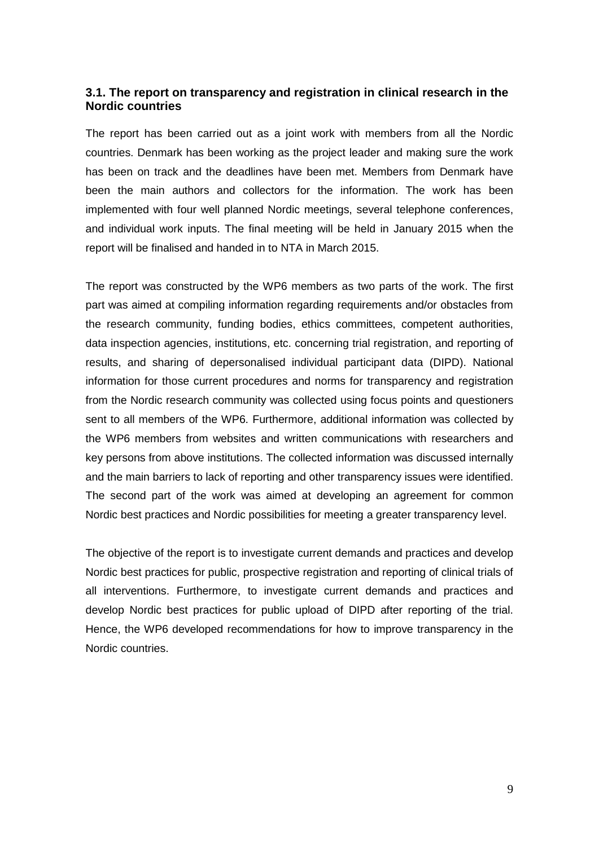# <span id="page-8-0"></span>**3.1. The report on transparency and registration in clinical research in the Nordic countries**

The report has been carried out as a joint work with members from all the Nordic countries. Denmark has been working as the project leader and making sure the work has been on track and the deadlines have been met. Members from Denmark have been the main authors and collectors for the information. The work has been implemented with four well planned Nordic meetings, several telephone conferences, and individual work inputs. The final meeting will be held in January 2015 when the report will be finalised and handed in to NTA in March 2015.

The report was constructed by the WP6 members as two parts of the work. The first part was aimed at compiling information regarding requirements and/or obstacles from the research community, funding bodies, ethics committees, competent authorities, data inspection agencies, institutions, etc. concerning trial registration, and reporting of results, and sharing of depersonalised individual participant data (DIPD). National information for those current procedures and norms for transparency and registration from the Nordic research community was collected using focus points and questioners sent to all members of the WP6. Furthermore, additional information was collected by the WP6 members from websites and written communications with researchers and key persons from above institutions. The collected information was discussed internally and the main barriers to lack of reporting and other transparency issues were identified. The second part of the work was aimed at developing an agreement for common Nordic best practices and Nordic possibilities for meeting a greater transparency level.

The objective of the report is to investigate current demands and practices and develop Nordic best practices for public, prospective registration and reporting of clinical trials of all interventions. Furthermore, to investigate current demands and practices and develop Nordic best practices for public upload of DIPD after reporting of the trial. Hence, the WP6 developed recommendations for how to improve transparency in the Nordic countries.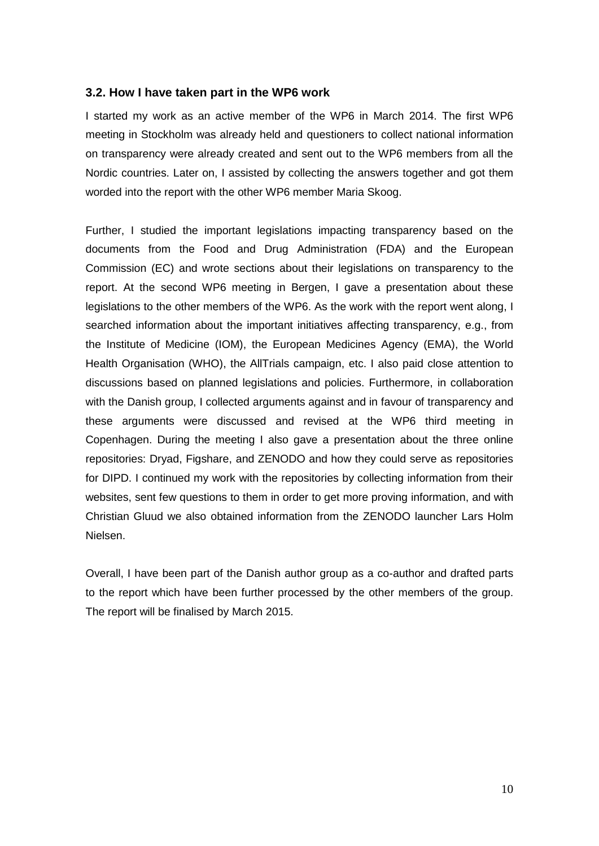# <span id="page-9-0"></span>**3.2. How I have taken part in the WP6 work**

I started my work as an active member of the WP6 in March 2014. The first WP6 meeting in Stockholm was already held and questioners to collect national information on transparency were already created and sent out to the WP6 members from all the Nordic countries. Later on, I assisted by collecting the answers together and got them worded into the report with the other WP6 member Maria Skoog.

Further, I studied the important legislations impacting transparency based on the documents from the Food and Drug Administration (FDA) and the European Commission (EC) and wrote sections about their legislations on transparency to the report. At the second WP6 meeting in Bergen, I gave a presentation about these legislations to the other members of the WP6. As the work with the report went along, I searched information about the important initiatives affecting transparency, e.g., from the Institute of Medicine (IOM), the European Medicines Agency (EMA), the World Health Organisation (WHO), the AllTrials campaign, etc. I also paid close attention to discussions based on planned legislations and policies. Furthermore, in collaboration with the Danish group, I collected arguments against and in favour of transparency and these arguments were discussed and revised at the WP6 third meeting in Copenhagen. During the meeting I also gave a presentation about the three online repositories: Dryad, Figshare, and ZENODO and how they could serve as repositories for DIPD. I continued my work with the repositories by collecting information from their websites, sent few questions to them in order to get more proving information, and with Christian Gluud we also obtained information from the ZENODO launcher Lars Holm Nielsen.

<span id="page-9-1"></span>Overall, I have been part of the Danish author group as a co-author and drafted parts to the report which have been further processed by the other members of the group. The report will be finalised by March 2015.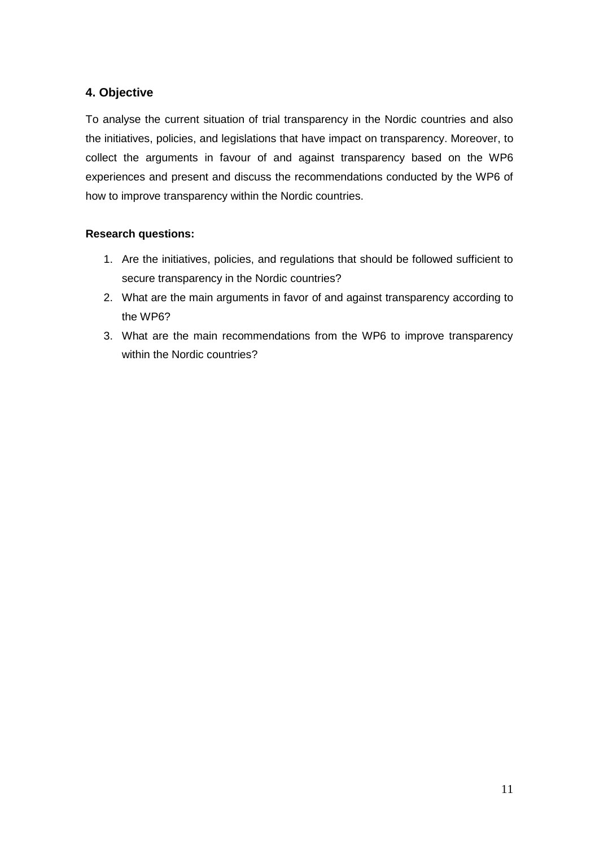# **4. Objective**

To analyse the current situation of trial transparency in the Nordic countries and also the initiatives, policies, and legislations that have impact on transparency. Moreover, to collect the arguments in favour of and against transparency based on the WP6 experiences and present and discuss the recommendations conducted by the WP6 of how to improve transparency within the Nordic countries.

# **Research questions:**

- 1. Are the initiatives, policies, and regulations that should be followed sufficient to secure transparency in the Nordic countries?
- 2. What are the main arguments in favor of and against transparency according to the WP6?
- 3. What are the main recommendations from the WP6 to improve transparency within the Nordic countries?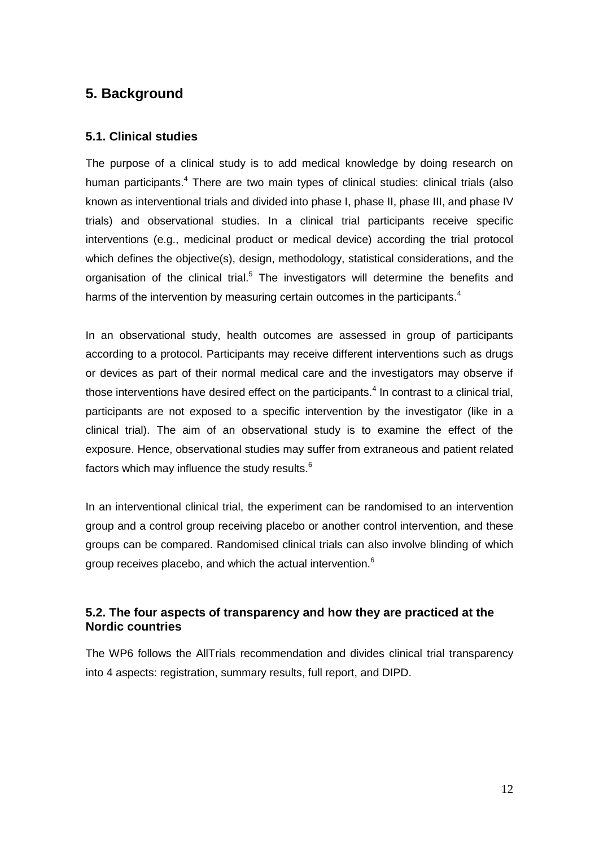# <span id="page-11-0"></span>**5. Background**

# <span id="page-11-1"></span>**5.1. Clinical studies**

The purpose of a clinical study is to add medical knowledge by doing research on human participants.<sup>4</sup> There are two main types of clinical studies: clinical trials (also known as interventional trials and divided into phase I, phase II, phase III, and phase IV trials) and observational studies. In a clinical trial participants receive specific interventions (e.g., medicinal product or medical device) according the trial protocol which defines the objective(s), design, methodology, statistical considerations, and the organisation of the clinical trial.<sup>5</sup> The investigators will determine the benefits and harms of the intervention by measuring certain outcomes in the participants. $4$ 

In an observational study, health outcomes are assessed in group of participants according to a protocol. Participants may receive different interventions such as drugs or devices as part of their normal medical care and the investigators may observe if those interventions have desired effect on the participants. $4$  In contrast to a clinical trial, participants are not exposed to a specific intervention by the investigator (like in a clinical trial). The aim of an observational study is to examine the effect of the exposure. Hence, observational studies may suffer from extraneous and patient related factors which may influence the study results. $^6$ 

In an interventional clinical trial, the experiment can be randomised to an intervention group and a control group receiving placebo or another control intervention, and these groups can be compared. Randomised clinical trials can also involve blinding of which group receives placebo, and which the actual intervention.<sup>6</sup>

# <span id="page-11-2"></span>**5.2. The four aspects of transparency and how they are practiced at the Nordic countries**

The WP6 follows the AllTrials recommendation and divides clinical trial transparency into 4 aspects: registration, summary results, full report, and DIPD.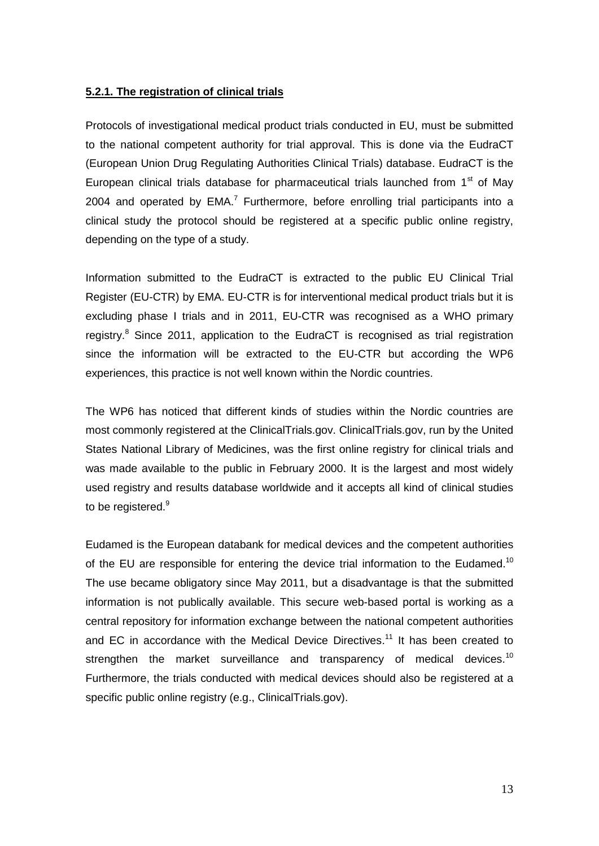# <span id="page-12-0"></span>**5.2.1. The registration of clinical trials**

Protocols of investigational medical product trials conducted in EU, must be submitted to the national competent authority for trial approval. This is done via the EudraCT (European Union Drug Regulating Authorities Clinical Trials) database. EudraCT is the European clinical trials database for pharmaceutical trials launched from  $1<sup>st</sup>$  of May 2004 and operated by  $EMA$ <sup>7</sup> Furthermore, before enrolling trial participants into a clinical study the protocol should be registered at a specific public online registry, depending on the type of a study.

Information submitted to the EudraCT is extracted to the public EU Clinical Trial Register (EU-CTR) by EMA. EU-CTR is for interventional medical product trials but it is excluding phase I trials and in 2011, EU-CTR was recognised as a WHO primary registry.<sup>8</sup> Since 2011, application to the EudraCT is recognised as trial registration since the information will be extracted to the EU-CTR but according the WP6 experiences, this practice is not well known within the Nordic countries.

The WP6 has noticed that different kinds of studies within the Nordic countries are most commonly registered at the ClinicalTrials.gov. ClinicalTrials.gov, run by the United States National Library of Medicines, was the first online registry for clinical trials and was made available to the public in February 2000. It is the largest and most widely used registry and results database worldwide and it accepts all kind of clinical studies to be registered.<sup>9</sup>

Eudamed is the European databank for medical devices and the competent authorities of the EU are responsible for entering the device trial information to the Eudamed.<sup>10</sup> The use became obligatory since May 2011, but a disadvantage is that the submitted information is not publically available. This secure web-based portal is working as a central repository for information exchange between the national competent authorities and EC in accordance with the Medical Device Directives.<sup>11</sup> It has been created to strengthen the market surveillance and transparency of medical devices.<sup>10</sup> Furthermore, the trials conducted with medical devices should also be registered at a specific public online registry (e.g., ClinicalTrials.gov).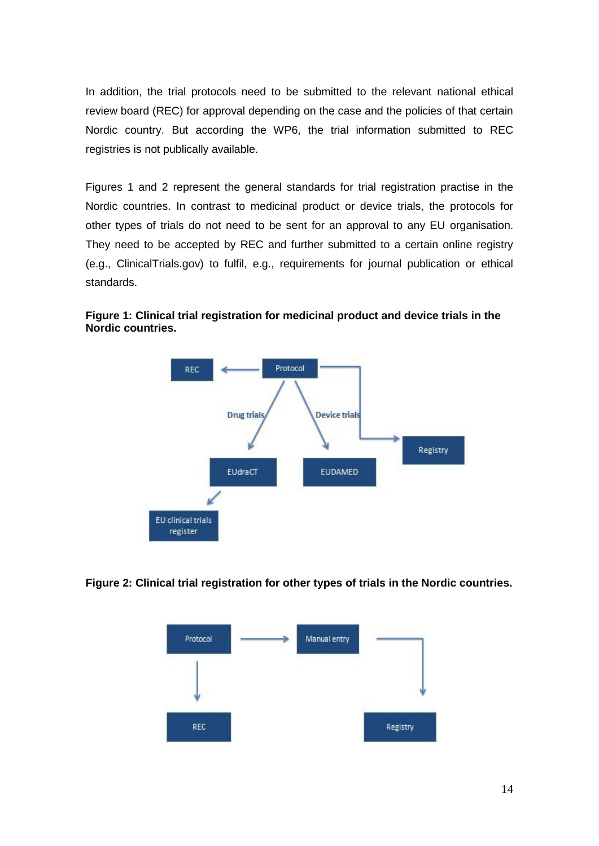In addition, the trial protocols need to be submitted to the relevant national ethical review board (REC) for approval depending on the case and the policies of that certain Nordic country. But according the WP6, the trial information submitted to REC registries is not publically available.

Figures 1 and 2 represent the general standards for trial registration practise in the Nordic countries. In contrast to medicinal product or device trials, the protocols for other types of trials do not need to be sent for an approval to any EU organisation. They need to be accepted by REC and further submitted to a certain online registry (e.g., ClinicalTrials.gov) to fulfil, e.g., requirements for journal publication or ethical standards.



**Figure 1: Clinical trial registration for medicinal product and device trials in the Nordic countries.**

**Figure 2: Clinical trial registration for other types of trials in the Nordic countries.**

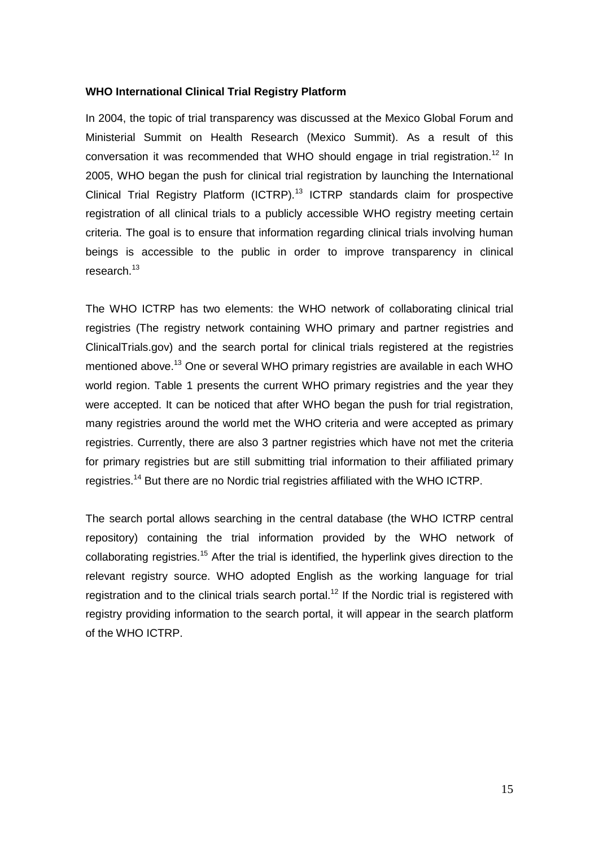#### **WHO International Clinical Trial Registry Platform**

In 2004, the topic of trial transparency was discussed at the Mexico Global Forum and Ministerial Summit on Health Research (Mexico Summit). As a result of this conversation it was recommended that WHO should engage in trial registration.<sup>12</sup> In 2005, WHO began the push for clinical trial registration by launching the International Clinical Trial Registry Platform (ICTRP).<sup>13</sup> ICTRP standards claim for prospective registration of all clinical trials to a publicly accessible WHO registry meeting certain criteria. The goal is to ensure that information regarding clinical trials involving human beings is accessible to the public in order to improve transparency in clinical research.<sup>13</sup>

The WHO ICTRP has two elements: the WHO network of collaborating clinical trial registries (The registry network containing WHO primary and partner registries and ClinicalTrials.gov) and the search portal for clinical trials registered at the registries mentioned above.<sup>13</sup> One or several WHO primary registries are available in each WHO world region. Table 1 presents the current WHO primary registries and the year they were accepted. It can be noticed that after WHO began the push for trial registration, many registries around the world met the WHO criteria and were accepted as primary registries. Currently, there are also 3 partner registries which have not met the criteria for primary registries but are still submitting trial information to their affiliated primary registries.<sup>14</sup> But there are no Nordic trial registries affiliated with the WHO ICTRP.

The search portal allows searching in the central database (the WHO ICTRP central repository) containing the trial information provided by the WHO network of collaborating registries.<sup>15</sup> After the trial is identified, the hyperlink gives direction to the relevant registry source. WHO adopted English as the working language for trial registration and to the clinical trials search portal.<sup>12</sup> If the Nordic trial is registered with registry providing information to the search portal, it will appear in the search platform of the WHO ICTRP.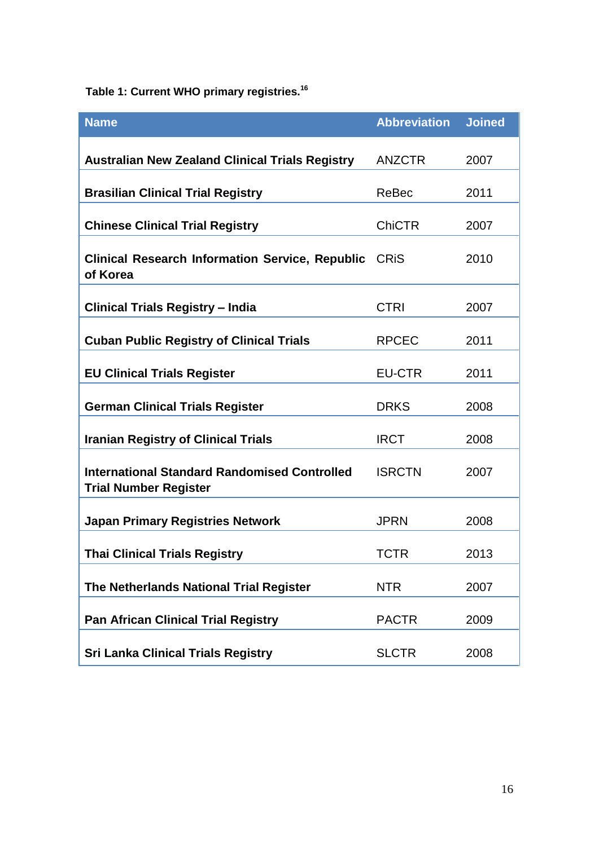**Table 1: Current WHO primary registries. 16**

| <b>Name</b>                                                                         | <b>Abbreviation</b> | <b>Joined</b> |
|-------------------------------------------------------------------------------------|---------------------|---------------|
| <b>Australian New Zealand Clinical Trials Registry</b>                              | <b>ANZCTR</b>       | 2007          |
| <b>Brasilian Clinical Trial Registry</b>                                            | ReBec               | 2011          |
| <b>Chinese Clinical Trial Registry</b>                                              | <b>ChiCTR</b>       | 2007          |
| <b>Clinical Research Information Service, Republic</b><br>of Korea                  | <b>CRIS</b>         | 2010          |
| <b>Clinical Trials Registry - India</b>                                             | <b>CTRI</b>         | 2007          |
| <b>Cuban Public Registry of Clinical Trials</b>                                     | <b>RPCEC</b>        | 2011          |
| <b>EU Clinical Trials Register</b>                                                  | <b>EU-CTR</b>       | 2011          |
| <b>German Clinical Trials Register</b>                                              | <b>DRKS</b>         | 2008          |
| <b>Iranian Registry of Clinical Trials</b>                                          | <b>IRCT</b>         | 2008          |
| <b>International Standard Randomised Controlled</b><br><b>Trial Number Register</b> | <b>ISRCTN</b>       | 2007          |
| <b>Japan Primary Registries Network</b>                                             | <b>JPRN</b>         | 2008          |
| <b>Thai Clinical Trials Registry</b>                                                | TCTR                | 2013          |
| The Netherlands National Trial Register                                             | <b>NTR</b>          | 2007          |
| <b>Pan African Clinical Trial Registry</b>                                          | <b>PACTR</b>        | 2009          |
| <b>Sri Lanka Clinical Trials Registry</b>                                           | <b>SLCTR</b>        | 2008          |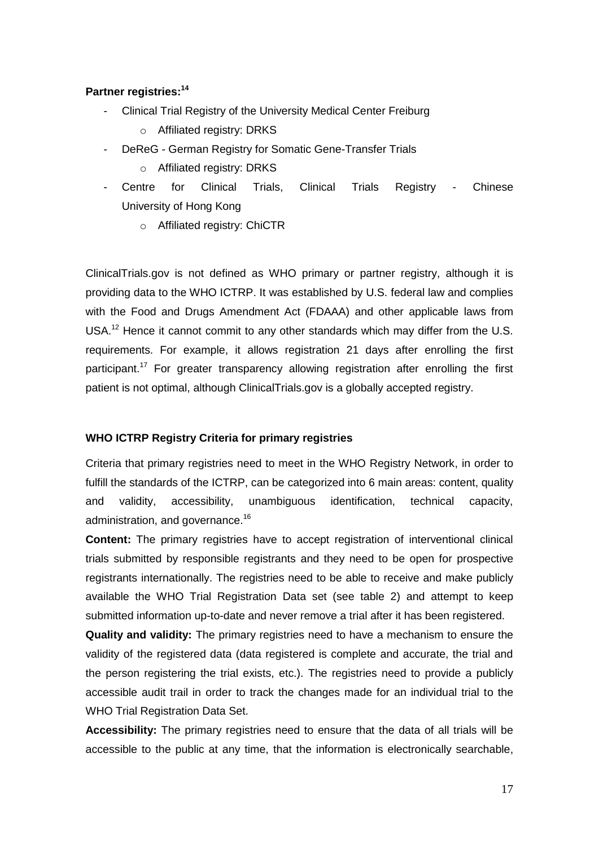# **Partner registries: 14**

- Clinical Trial Registry of the University Medical Center Freiburg
	- o Affiliated registry: DRKS
- DeReG German Registry for Somatic Gene-Transfer Trials
	- o Affiliated registry: DRKS
- Centre for Clinical Trials, Clinical Trials Registry Chinese University of Hong Kong
	- o Affiliated registry: ChiCTR

ClinicalTrials.gov is not defined as WHO primary or partner registry, although it is providing data to the WHO ICTRP. It was established by U.S. federal law and complies with the Food and Drugs Amendment Act (FDAAA) and other applicable laws from USA.<sup>12</sup> Hence it cannot commit to any other standards which may differ from the U.S. requirements. For example, it allows registration 21 days after enrolling the first participant.<sup>17</sup> For greater transparency allowing registration after enrolling the first patient is not optimal, although ClinicalTrials.gov is a globally accepted registry.

# **WHO ICTRP Registry Criteria for primary registries**

Criteria that primary registries need to meet in the WHO Registry Network, in order to fulfill the standards of the ICTRP, can be categorized into 6 main areas: content, quality and validity, accessibility, unambiguous identification, technical capacity, administration, and governance.<sup>16</sup>

**Content:** The primary registries have to accept registration of interventional clinical trials submitted by responsible registrants and they need to be open for prospective registrants internationally. The registries need to be able to receive and make publicly available the WHO Trial Registration Data set (see table 2) and attempt to keep submitted information up-to-date and never remove a trial after it has been registered.

**Quality and validity:** The primary registries need to have a mechanism to ensure the validity of the registered data (data registered is complete and accurate, the trial and the person registering the trial exists, etc.). The registries need to provide a publicly accessible audit trail in order to track the changes made for an individual trial to the WHO Trial Registration Data Set.

**Accessibility:** The primary registries need to ensure that the data of all trials will be accessible to the public at any time, that the information is electronically searchable,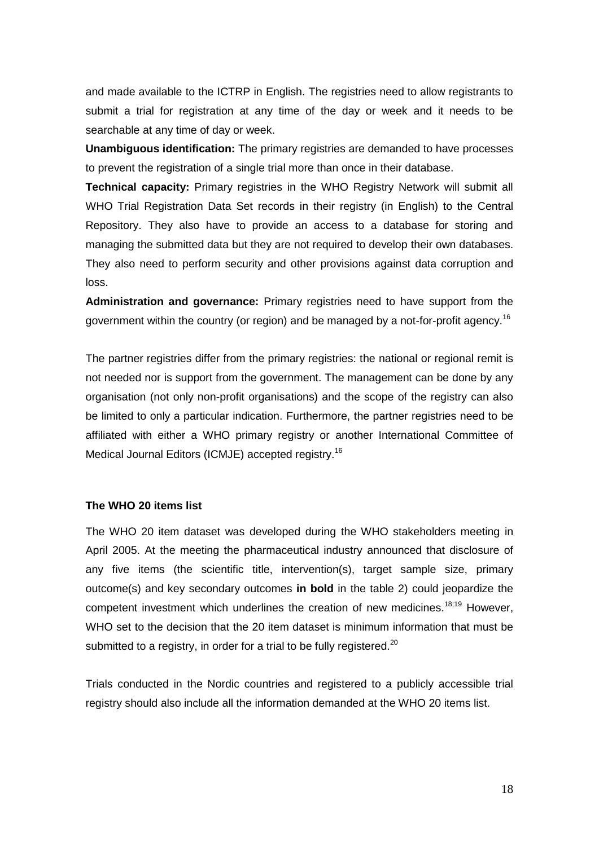and made available to the ICTRP in English. The registries need to allow registrants to submit a trial for registration at any time of the day or week and it needs to be searchable at any time of day or week.

**Unambiguous identification:** The primary registries are demanded to have processes to prevent the registration of a single trial more than once in their database.

**Technical capacity:** Primary registries in the WHO Registry Network will submit all WHO Trial Registration Data Set records in their registry (in English) to the Central Repository. They also have to provide an access to a database for storing and managing the submitted data but they are not required to develop their own databases. They also need to perform security and other provisions against data corruption and loss.

**Administration and governance:** Primary registries need to have support from the government within the country (or region) and be managed by a not-for-profit agency.<sup>16</sup>

The partner registries differ from the primary registries: the national or regional remit is not needed nor is support from the government. The management can be done by any organisation (not only non-profit organisations) and the scope of the registry can also be limited to only a particular indication. Furthermore, the partner registries need to be affiliated with either a WHO primary registry or another International Committee of Medical Journal Editors (ICMJE) accepted registry.<sup>16</sup>

#### **The WHO 20 items list**

The WHO 20 item dataset was developed during the WHO stakeholders meeting in April 2005. At the meeting the pharmaceutical industry announced that disclosure of any five items (the scientific title, intervention(s), target sample size, primary outcome(s) and key secondary outcomes **in bold** in the table 2) could jeopardize the competent investment which underlines the creation of new medicines.<sup>18;19</sup> However, WHO set to the decision that the 20 item dataset is minimum information that must be submitted to a registry, in order for a trial to be fully registered.<sup>20</sup>

Trials conducted in the Nordic countries and registered to a publicly accessible trial registry should also include all the information demanded at the WHO 20 items list.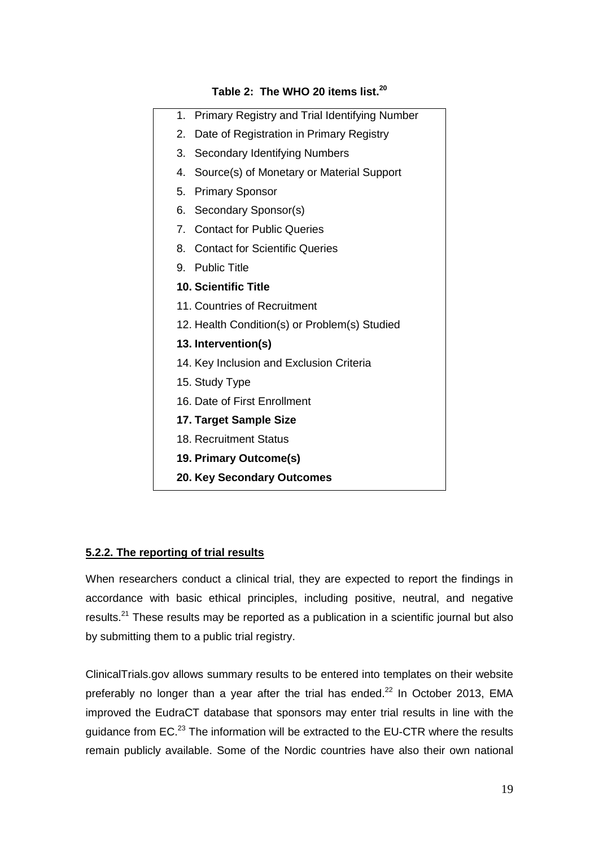| 1. Primary Registry and Trial Identifying Number    |  |
|-----------------------------------------------------|--|
| Date of Registration in Primary Registry<br>2.      |  |
| 3.<br><b>Secondary Identifying Numbers</b>          |  |
| Source(s) of Monetary or Material Support<br>4.     |  |
| 5.<br><b>Primary Sponsor</b>                        |  |
| 6.<br>Secondary Sponsor(s)                          |  |
| 7 <sub>1</sub><br><b>Contact for Public Queries</b> |  |
| 8. Contact for Scientific Queries                   |  |
| 9. Public Title                                     |  |
| <b>10. Scientific Title</b>                         |  |
| 11. Countries of Recruitment                        |  |
| 12. Health Condition(s) or Problem(s) Studied       |  |
| 13. Intervention(s)                                 |  |
| 14. Key Inclusion and Exclusion Criteria            |  |
| 15. Study Type                                      |  |
| 16. Date of First Enrollment                        |  |
| 17. Target Sample Size                              |  |
| 18. Recruitment Status                              |  |
| 19. Primary Outcome(s)                              |  |
| 20. Key Secondary Outcomes                          |  |
|                                                     |  |

# **Table 2: The WHO 20 items list. 20**

# <span id="page-18-0"></span>**5.2.2. The reporting of trial results**

When researchers conduct a clinical trial, they are expected to report the findings in accordance with basic ethical principles, including positive, neutral, and negative results.<sup>21</sup> These results may be reported as a publication in a scientific journal but also by submitting them to a public trial registry.

ClinicalTrials.gov allows summary results to be entered into templates on their website preferably no longer than a year after the trial has ended. $^{22}$  In October 2013, EMA improved the EudraCT database that sponsors may enter trial results in line with the guidance from EC.<sup>23</sup> The information will be extracted to the EU-CTR where the results remain publicly available. Some of the Nordic countries have also their own national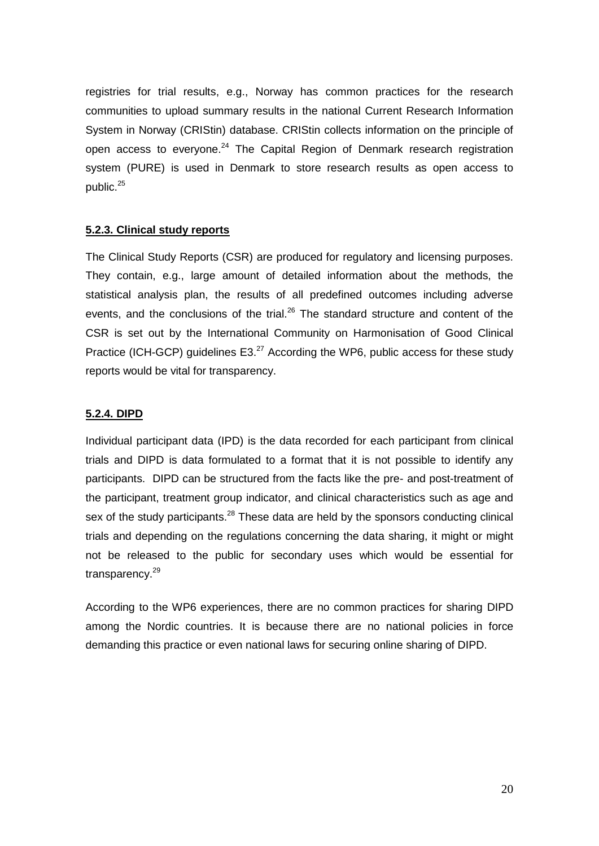registries for trial results, e.g., Norway has common practices for the research communities to upload summary results in the national Current Research Information System in Norway (CRIStin) database. CRIStin collects information on the principle of open access to everyone. $24$  The Capital Region of Denmark research registration system (PURE) is used in Denmark to store research results as open access to public.<sup>25</sup>

#### <span id="page-19-0"></span>**5.2.3. Clinical study reports**

The Clinical Study Reports (CSR) are produced for regulatory and licensing purposes. They contain, e.g., large amount of detailed information about the methods, the statistical analysis plan, the results of all predefined outcomes including adverse events, and the conclusions of the trial. $^{26}$  The standard structure and content of the CSR is set out by the International Community on Harmonisation of Good Clinical Practice (ICH-GCP) guidelines  $E3<sup>27</sup>$  According the WP6, public access for these study reports would be vital for transparency.

#### <span id="page-19-1"></span>**5.2.4. DIPD**

Individual participant data (IPD) is the data recorded for each participant from clinical trials and DIPD is data formulated to a format that it is not possible to identify any participants. DIPD can be structured from the facts like the pre- and post-treatment of the participant, treatment group indicator, and clinical characteristics such as age and sex of the study participants. $^{28}$  These data are held by the sponsors conducting clinical trials and depending on the regulations concerning the data sharing, it might or might not be released to the public for secondary uses which would be essential for transparency.<sup>29</sup>

According to the WP6 experiences, there are no common practices for sharing DIPD among the Nordic countries. It is because there are no national policies in force demanding this practice or even national laws for securing online sharing of DIPD.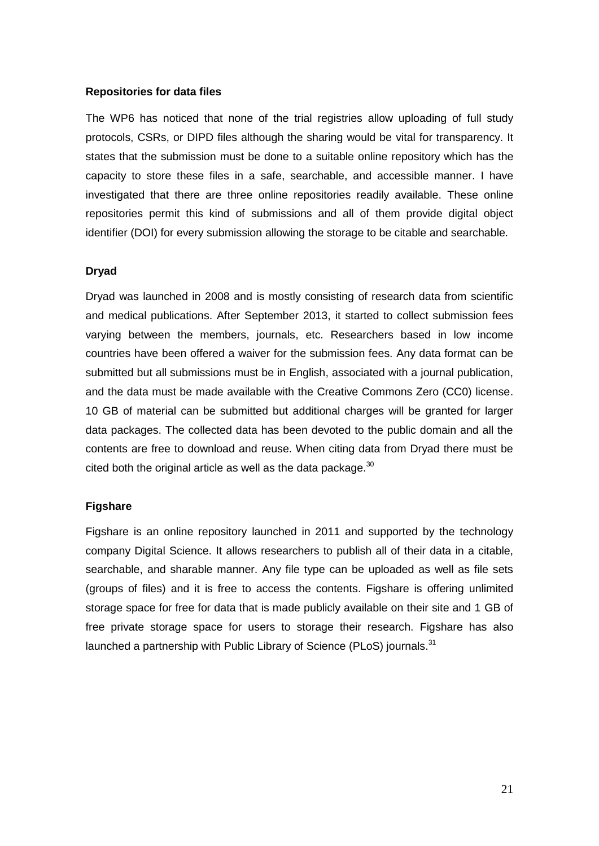#### **Repositories for data files**

The WP6 has noticed that none of the trial registries allow uploading of full study protocols, CSRs, or DIPD files although the sharing would be vital for transparency. It states that the submission must be done to a suitable online repository which has the capacity to store these files in a safe, searchable, and accessible manner. I have investigated that there are three online repositories readily available. These online repositories permit this kind of submissions and all of them provide digital object identifier (DOI) for every submission allowing the storage to be citable and searchable.

#### **Dryad**

Dryad was launched in 2008 and is mostly consisting of research data from scientific and medical publications. After September 2013, it started to collect submission fees varying between the members, journals, etc. Researchers based in low income countries have been offered a waiver for the submission fees. Any data format can be submitted but all submissions must be in English, associated with a journal publication, and the data must be made available with the Creative Commons Zero (CC0) license. 10 GB of material can be submitted but additional charges will be granted for larger data packages. The collected data has been devoted to the public domain and all the contents are free to download and reuse. When citing data from Dryad there must be cited both the original article as well as the data package.  $30$ 

#### **Figshare**

Figshare is an online repository launched in 2011 and supported by the technology company Digital Science. It allows researchers to publish all of their data in a citable, searchable, and sharable manner. Any file type can be uploaded as well as file sets (groups of files) and it is free to access the contents. Figshare is offering unlimited storage space for free for data that is made publicly available on their site and 1 GB of free private storage space for users to storage their research. Figshare has also launched a partnership with Public Library of Science (PLoS) journals.<sup>31</sup>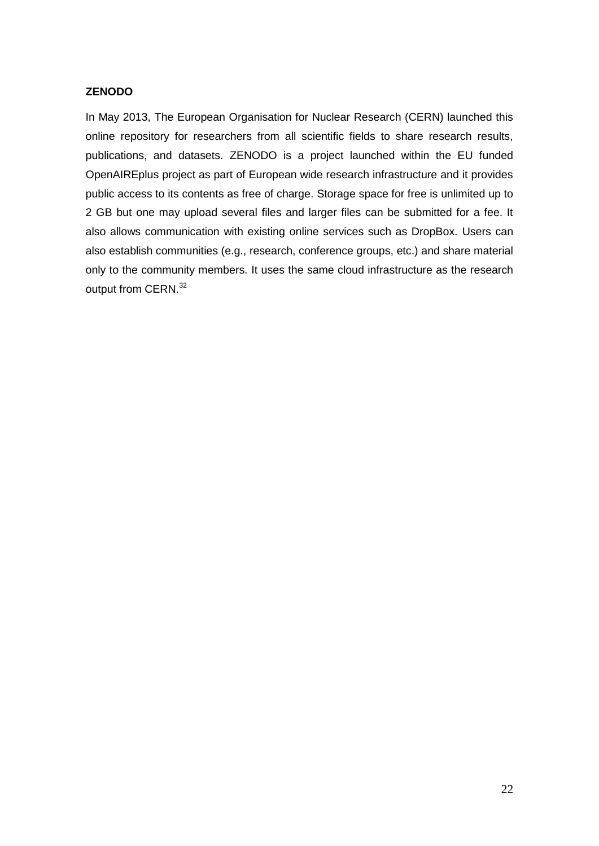# **ZENODO**

In May 2013, The European Organisation for Nuclear Research (CERN) launched this online repository for researchers from all scientific fields to share research results, publications, and datasets. ZENODO is a project launched within the EU funded OpenAIREplus project as part of European wide research infrastructure and it provides public access to its contents as free of charge. Storage space for free is unlimited up to 2 GB but one may upload several files and larger files can be submitted for a fee. It also allows communication with existing online services such as DropBox. Users can also establish communities (e.g., research, conference groups, etc.) and share material only to the community members. It uses the same cloud infrastructure as the research output from CERN.<sup>32</sup>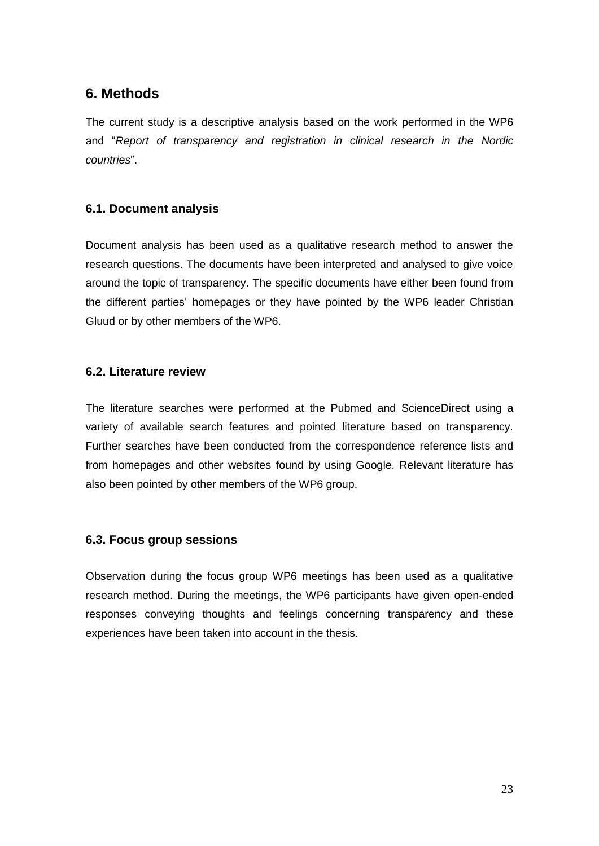# <span id="page-22-0"></span>**6. Methods**

The current study is a descriptive analysis based on the work performed in the WP6 and "*Report of transparency and registration in clinical research in the Nordic countries*".

# <span id="page-22-1"></span>**6.1. Document analysis**

Document analysis has been used as a qualitative research method to answer the research questions. The documents have been interpreted and analysed to give voice around the topic of transparency. The specific documents have either been found from the different parties' homepages or they have pointed by the WP6 leader Christian Gluud or by other members of the WP6.

# <span id="page-22-2"></span>**6.2. Literature review**

The literature searches were performed at the Pubmed and ScienceDirect using a variety of available search features and pointed literature based on transparency. Further searches have been conducted from the correspondence reference lists and from homepages and other websites found by using Google. Relevant literature has also been pointed by other members of the WP6 group.

# <span id="page-22-3"></span>**6.3. Focus group sessions**

Observation during the focus group WP6 meetings has been used as a qualitative research method. During the meetings, the WP6 participants have given open-ended responses conveying thoughts and feelings concerning transparency and these experiences have been taken into account in the thesis.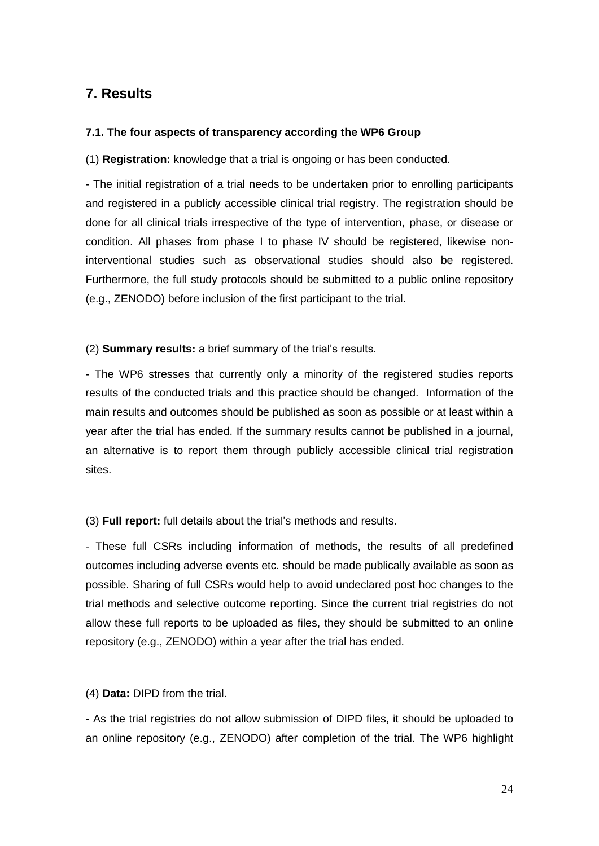# <span id="page-23-1"></span><span id="page-23-0"></span>**7. Results**

# **7.1. The four aspects of transparency according the WP6 Group**

(1) **Registration:** knowledge that a trial is ongoing or has been conducted.

- The initial registration of a trial needs to be undertaken prior to enrolling participants and registered in a publicly accessible clinical trial registry. The registration should be done for all clinical trials irrespective of the type of intervention, phase, or disease or condition. All phases from phase I to phase IV should be registered, likewise noninterventional studies such as observational studies should also be registered. Furthermore, the full study protocols should be submitted to a public online repository (e.g., ZENODO) before inclusion of the first participant to the trial.

# (2) **Summary results:** a brief summary of the trial's results.

- The WP6 stresses that currently only a minority of the registered studies reports results of the conducted trials and this practice should be changed. Information of the main results and outcomes should be published as soon as possible or at least within a year after the trial has ended. If the summary results cannot be published in a journal, an alternative is to report them through publicly accessible clinical trial registration sites.

(3) **Full report:** full details about the trial's methods and results.

- These full CSRs including information of methods, the results of all predefined outcomes including adverse events etc. should be made publically available as soon as possible. Sharing of full CSRs would help to avoid undeclared post hoc changes to the trial methods and selective outcome reporting. Since the current trial registries do not allow these full reports to be uploaded as files, they should be submitted to an online repository (e.g., ZENODO) within a year after the trial has ended.

(4) **Data:** DIPD from the trial.

- As the trial registries do not allow submission of DIPD files, it should be uploaded to an online repository (e.g., ZENODO) after completion of the trial. The WP6 highlight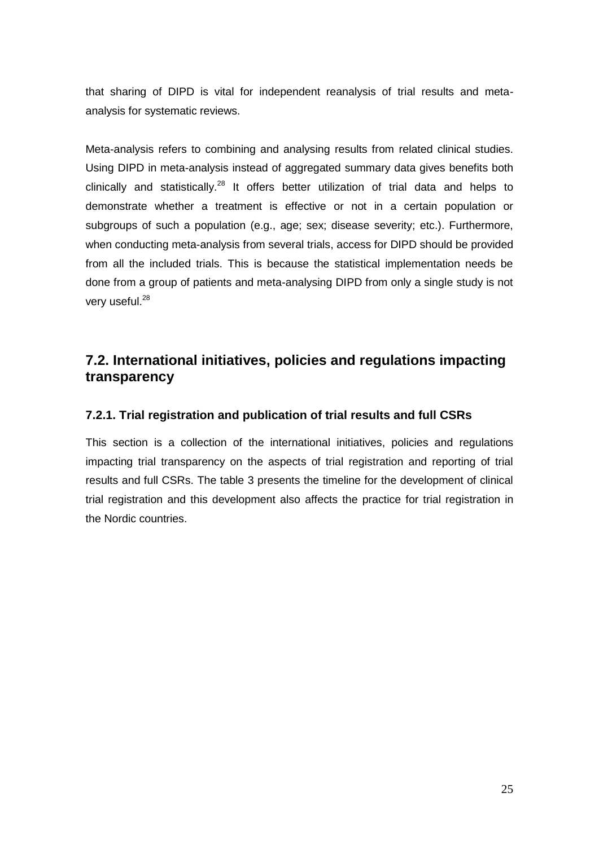that sharing of DIPD is vital for independent reanalysis of trial results and metaanalysis for systematic reviews.

Meta-analysis refers to combining and analysing results from related clinical studies. Using DIPD in meta-analysis instead of aggregated summary data gives benefits both clinically and statistically.<sup>28</sup> It offers better utilization of trial data and helps to demonstrate whether a treatment is effective or not in a certain population or subgroups of such a population (e.g., age; sex; disease severity; etc.). Furthermore, when conducting meta-analysis from several trials, access for DIPD should be provided from all the included trials. This is because the statistical implementation needs be done from a group of patients and meta-analysing DIPD from only a single study is not very useful.<sup>28</sup>

# <span id="page-24-0"></span>**7.2. International initiatives, policies and regulations impacting transparency**

# <span id="page-24-1"></span>**7.2.1. Trial registration and publication of trial results and full CSRs**

This section is a collection of the international initiatives, policies and regulations impacting trial transparency on the aspects of trial registration and reporting of trial results and full CSRs. The table 3 presents the timeline for the development of clinical trial registration and this development also affects the practice for trial registration in the Nordic countries.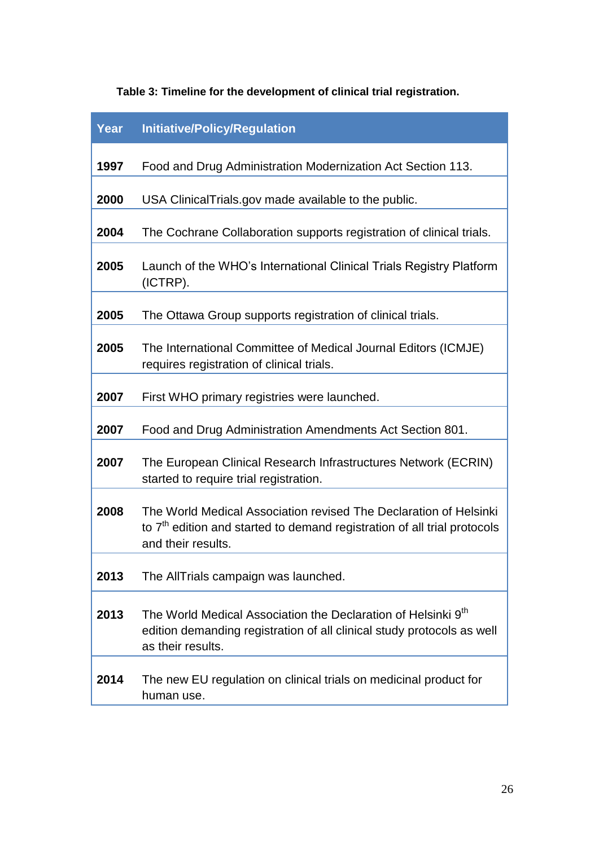| Table 3: Timeline for the development of clinical trial registration. |  |
|-----------------------------------------------------------------------|--|
|-----------------------------------------------------------------------|--|

| Year | <b>Initiative/Policy/Regulation</b>                                                                                                                                             |
|------|---------------------------------------------------------------------------------------------------------------------------------------------------------------------------------|
| 1997 | Food and Drug Administration Modernization Act Section 113.                                                                                                                     |
| 2000 | USA ClinicalTrials.gov made available to the public.                                                                                                                            |
| 2004 | The Cochrane Collaboration supports registration of clinical trials.                                                                                                            |
| 2005 | Launch of the WHO's International Clinical Trials Registry Platform<br>(ICTRP).                                                                                                 |
| 2005 | The Ottawa Group supports registration of clinical trials.                                                                                                                      |
| 2005 | The International Committee of Medical Journal Editors (ICMJE)<br>requires registration of clinical trials.                                                                     |
| 2007 | First WHO primary registries were launched.                                                                                                                                     |
| 2007 | Food and Drug Administration Amendments Act Section 801.                                                                                                                        |
| 2007 | The European Clinical Research Infrastructures Network (ECRIN)<br>started to require trial registration.                                                                        |
| 2008 | The World Medical Association revised The Declaration of Helsinki<br>to 7 <sup>th</sup> edition and started to demand registration of all trial protocols<br>and their results. |
| 2013 | The AllTrials campaign was launched.                                                                                                                                            |
| 2013 | The World Medical Association the Declaration of Helsinki 9 <sup>th</sup><br>edition demanding registration of all clinical study protocols as well<br>as their results.        |
| 2014 | The new EU regulation on clinical trials on medicinal product for<br>human use.                                                                                                 |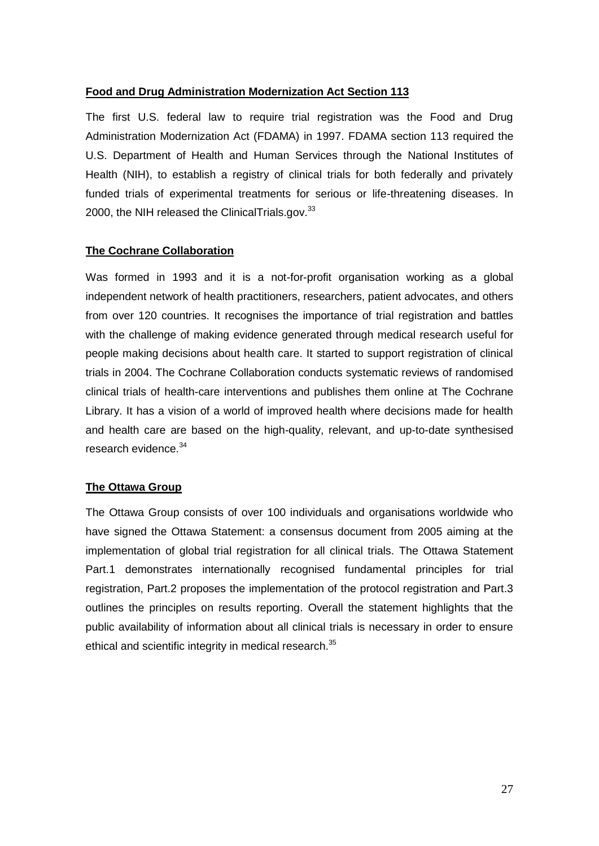# **Food and Drug Administration Modernization Act Section 113**

The first U.S. federal law to require trial registration was the Food and Drug Administration Modernization Act (FDAMA) in 1997. FDAMA section 113 required the U.S. Department of Health and Human Services through the National Institutes of Health (NIH), to establish a registry of clinical trials for both federally and privately funded trials of experimental treatments for serious or life-threatening diseases. In 2000, the NIH released the ClinicalTrials.gov. $33$ 

# **The Cochrane Collaboration**

Was formed in 1993 and it is a not-for-profit organisation working as a global independent network of health practitioners, researchers, patient advocates, and others from over 120 countries. It recognises the importance of trial registration and battles with the challenge of making evidence generated through medical research useful for people making decisions about health care. It started to support registration of clinical trials in 2004. The Cochrane Collaboration conducts systematic reviews of randomised clinical trials of health-care interventions and publishes them online at The Cochrane Library. It has a vision of a world of improved health where decisions made for health and health care are based on the high-quality, relevant, and up-to-date synthesised research evidence.<sup>34</sup>

# **The Ottawa Group**

The Ottawa Group consists of over 100 individuals and organisations worldwide who have signed the Ottawa Statement: a consensus document from 2005 aiming at the implementation of global trial registration for all clinical trials. The Ottawa Statement Part.1 demonstrates internationally recognised fundamental principles for trial registration, Part.2 proposes the implementation of the protocol registration and Part.3 outlines the principles on results reporting. Overall the statement highlights that the public availability of information about all clinical trials is necessary in order to ensure ethical and scientific integrity in medical research.<sup>35</sup>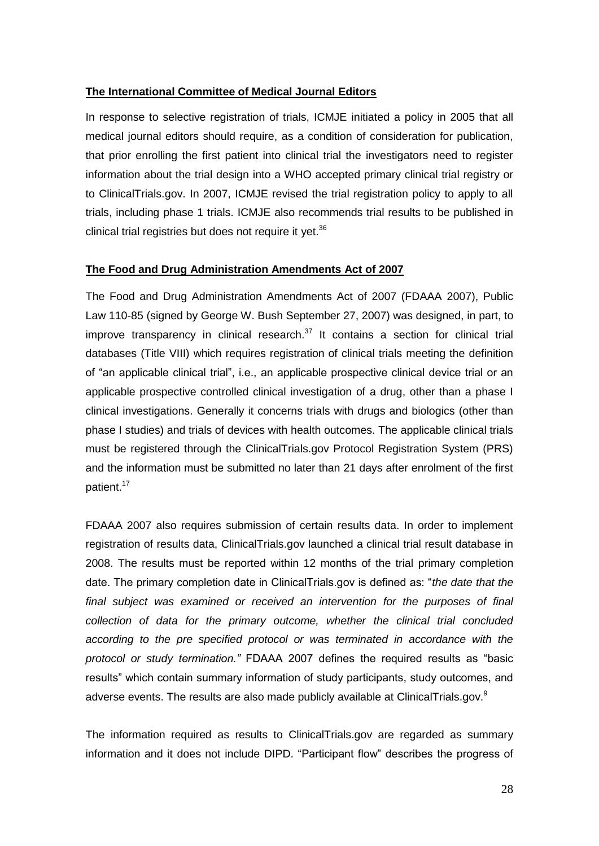# **The International Committee of Medical Journal Editors**

In response to selective registration of trials, ICMJE initiated a policy in 2005 that all medical journal editors should require, as a condition of consideration for publication, that prior enrolling the first patient into clinical trial the investigators need to register information about the trial design into a WHO accepted primary clinical trial registry or to ClinicalTrials.gov. In 2007, ICMJE revised the trial registration policy to apply to all trials, including phase 1 trials. ICMJE also recommends trial results to be published in clinical trial registries but does not require it yet.<sup>36</sup>

# **The Food and Drug Administration Amendments Act of 2007**

The Food and Drug Administration Amendments Act of 2007 (FDAAA 2007), Public Law 110-85 (signed by George W. Bush September 27, 2007) was designed, in part, to improve transparency in clinical research. $37$  It contains a section for clinical trial databases (Title VIII) which requires registration of clinical trials meeting the definition of "an applicable clinical trial", i.e., an applicable prospective clinical device trial or an applicable prospective controlled clinical investigation of a drug, other than a phase I clinical investigations. Generally it concerns trials with drugs and biologics (other than phase I studies) and trials of devices with health outcomes. The applicable clinical trials must be registered through the ClinicalTrials.gov Protocol Registration System (PRS) and the information must be submitted no later than 21 days after enrolment of the first patient.<sup>17</sup>

FDAAA 2007 also requires submission of certain results data. In order to implement registration of results data, ClinicalTrials.gov launched a clinical trial result database in 2008. The results must be reported within 12 months of the trial primary completion date. The primary completion date in ClinicalTrials.gov is defined as: "*the date that the final subject was examined or received an intervention for the purposes of final collection of data for the primary outcome, whether the clinical trial concluded according to the pre specified protocol or was terminated in accordance with the protocol or study termination."* FDAAA 2007 defines the required results as "basic results" which contain summary information of study participants, study outcomes, and adverse events. The results are also made publicly available at ClinicalTrials.gov.<sup>9</sup>

The information required as results to ClinicalTrials.gov are regarded as summary information and it does not include DIPD. "Participant flow" describes the progress of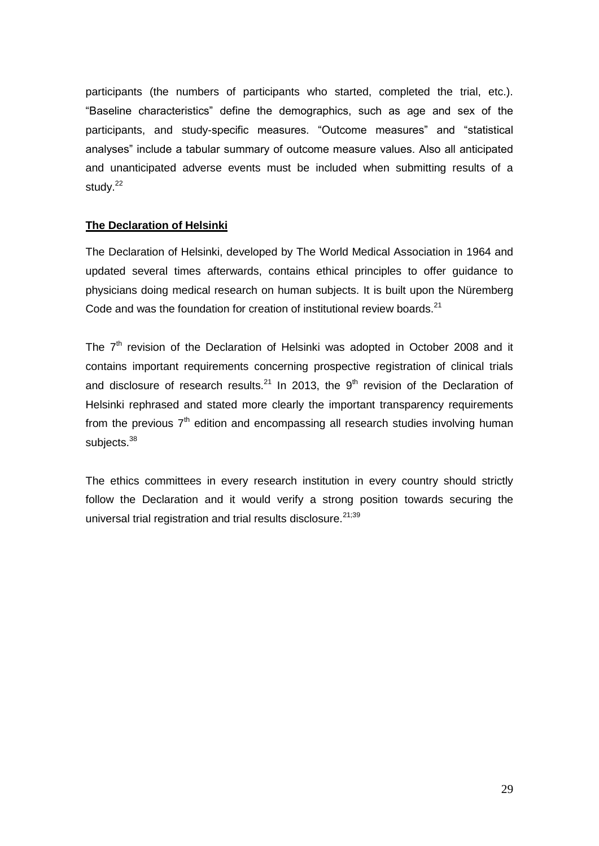participants (the numbers of participants who started, completed the trial, etc.). "Baseline characteristics" define the demographics, such as age and sex of the participants, and study-specific measures. "Outcome measures" and "statistical analyses" include a tabular summary of outcome measure values. Also all anticipated and unanticipated adverse events must be included when submitting results of a study.<sup>22</sup>

# **The Declaration of Helsinki**

The Declaration of Helsinki, developed by The World Medical Association in 1964 and updated several times afterwards, contains ethical principles to offer guidance to physicians doing medical research on human subjects. It is built upon the Nüremberg Code and was the foundation for creation of institutional review boards. $^{21}$ 

The 7<sup>th</sup> revision of the Declaration of Helsinki was adopted in October 2008 and it contains important requirements concerning prospective registration of clinical trials and disclosure of research results.<sup>21</sup> In 2013, the  $9<sup>th</sup>$  revision of the Declaration of Helsinki rephrased and stated more clearly the important transparency requirements from the previous  $7<sup>th</sup>$  edition and encompassing all research studies involving human subjects.<sup>38</sup>

The ethics committees in every research institution in every country should strictly follow the Declaration and it would verify a strong position towards securing the universal trial registration and trial results disclosure.<sup>21;39</sup>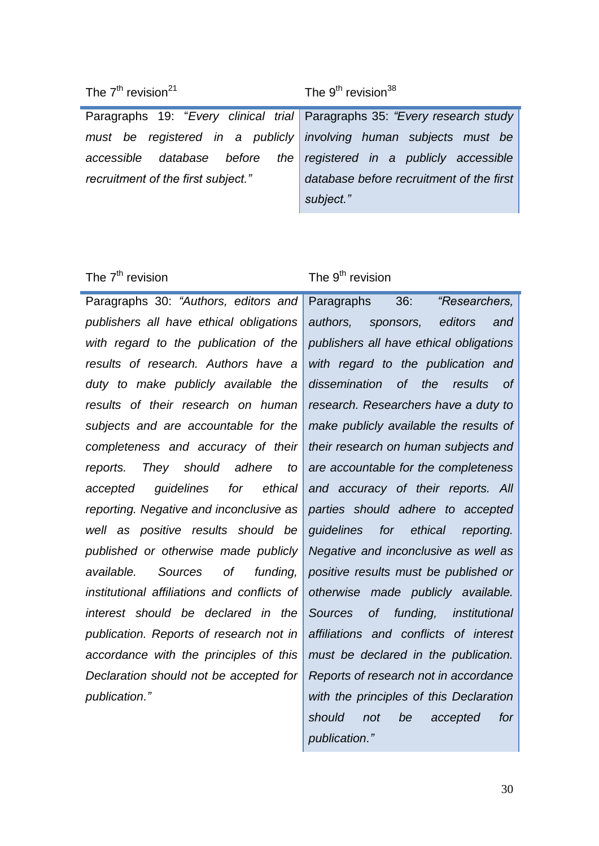Paragraphs 19: "*Every clinical trial must be registered in a publicly accessible database before the recruitment of the first subject."* 

Paragraphs 35: *"Every research study involving human subjects must be registered in a publicly accessible database before recruitment of the first subject."*

Paragraphs 30: *"Authors, editors and publishers all have ethical obligations with regard to the publication of the results of research. Authors have a duty to make publicly available the results of their research on human subjects and are accountable for the completeness and accuracy of their reports. They should adhere to accepted guidelines for ethical reporting. Negative and inconclusive as well as positive results should be published or otherwise made publicly available. Sources of funding, institutional affiliations and conflicts of interest should be declared in the publication. Reports of research not in accordance with the principles of this Declaration should not be accepted for publication."* 

# The  $7<sup>th</sup>$  revision The  $9<sup>th</sup>$  revision

Paragraphs 36: *"Researchers, authors, sponsors, editors and publishers all have ethical obligations with regard to the publication and dissemination of the results of research. Researchers have a duty to make publicly available the results of their research on human subjects and are accountable for the completeness and accuracy of their reports. All parties should adhere to accepted guidelines for ethical reporting. Negative and inconclusive as well as positive results must be published or otherwise made publicly available. Sources of funding, institutional affiliations and conflicts of interest must be declared in the publication. Reports of research not in accordance with the principles of this Declaration should not be accepted for publication."*

# The  $7<sup>th</sup>$  revision<sup>21</sup> The 9<sup>th</sup> revision<sup>38</sup>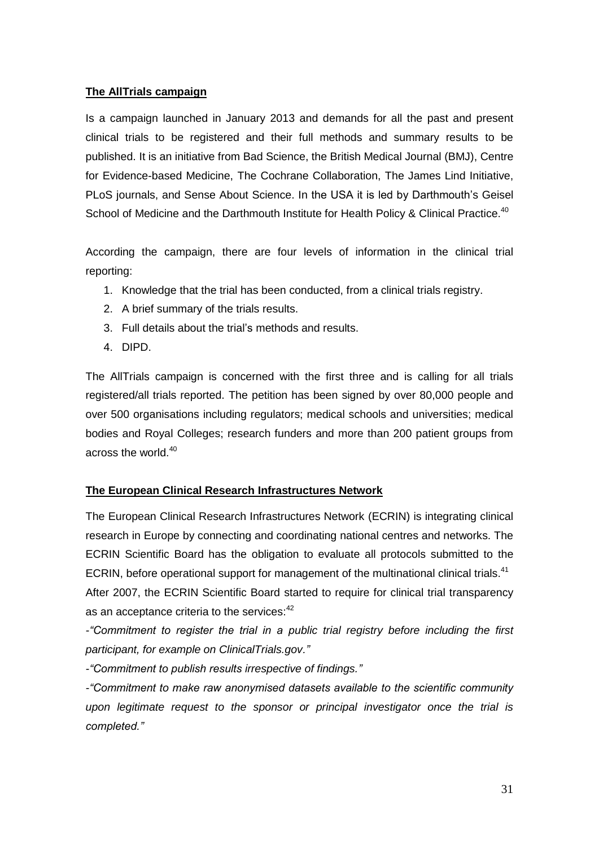# **The AllTrials campaign**

Is a campaign launched in January 2013 and demands for all the past and present clinical trials to be registered and their full methods and summary results to be published. It is an initiative from Bad Science, the British Medical Journal (BMJ), Centre for Evidence-based Medicine, The Cochrane Collaboration, The James Lind Initiative, PLoS journals, and Sense About Science. In the USA it is led by Darthmouth's Geisel School of Medicine and the Darthmouth Institute for Health Policy & Clinical Practice.<sup>40</sup>

According the campaign, there are four levels of information in the clinical trial reporting:

- 1. Knowledge that the trial has been conducted, from a clinical trials registry.
- 2. A brief summary of the trials results.
- 3. Full details about the trial's methods and results.
- 4. DIPD.

The AllTrials campaign is concerned with the first three and is calling for all trials registered/all trials reported. The petition has been signed by over 80,000 people and over 500 organisations including regulators; medical schools and universities; medical bodies and Royal Colleges; research funders and more than 200 patient groups from across the world.<sup>40</sup>

# **The European Clinical Research Infrastructures Network**

The European Clinical Research Infrastructures Network (ECRIN) is integrating clinical research in Europe by connecting and coordinating national centres and networks. The ECRIN Scientific Board has the obligation to evaluate all protocols submitted to the ECRIN, before operational support for management of the multinational clinical trials.<sup>41</sup> After 2007, the ECRIN Scientific Board started to require for clinical trial transparency as an acceptance criteria to the services:<sup>42</sup>

*-"Commitment to register the trial in a public trial registry before including the first participant, for example on ClinicalTrials.gov."*

*-"Commitment to publish results irrespective of findings."*

*-"Commitment to make raw anonymised datasets available to the scientific community upon legitimate request to the sponsor or principal investigator once the trial is completed."*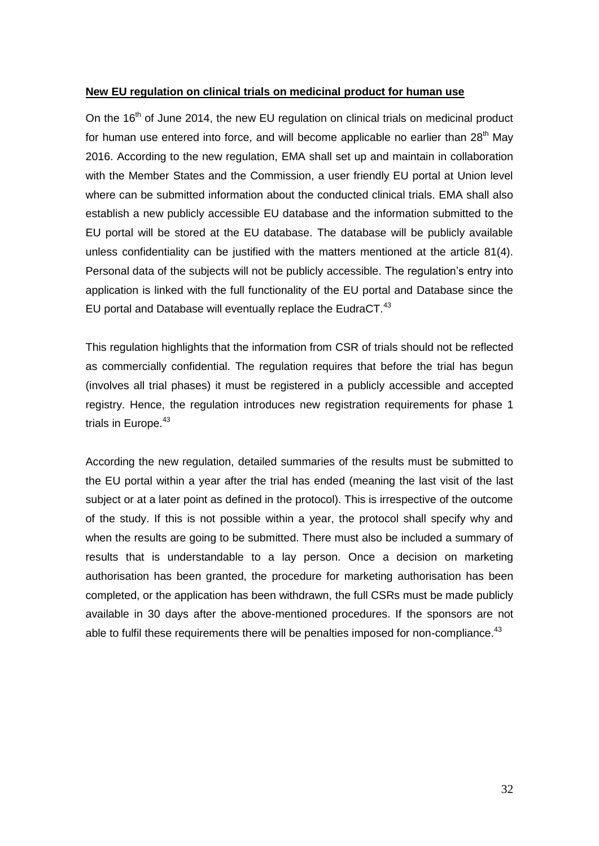# **New EU regulation on clinical trials on medicinal product for human use**

On the 16<sup>th</sup> of June 2014, the new EU regulation on clinical trials on medicinal product for human use entered into force, and will become applicable no earlier than  $28<sup>th</sup>$  May 2016. According to the new regulation, EMA shall set up and maintain in collaboration with the Member States and the Commission, a user friendly EU portal at Union level where can be submitted information about the conducted clinical trials. EMA shall also establish a new publicly accessible EU database and the information submitted to the EU portal will be stored at the EU database. The database will be publicly available unless confidentiality can be justified with the matters mentioned at the article 81(4). Personal data of the subjects will not be publicly accessible. The regulation's entry into application is linked with the full functionality of the EU portal and Database since the EU portal and Database will eventually replace the EudraCT.<sup>43</sup>

This regulation highlights that the information from CSR of trials should not be reflected as commercially confidential. The regulation requires that before the trial has begun (involves all trial phases) it must be registered in a publicly accessible and accepted registry. Hence, the regulation introduces new registration requirements for phase 1 trials in Europe.<sup>43</sup>

According the new regulation, detailed summaries of the results must be submitted to the EU portal within a year after the trial has ended (meaning the last visit of the last subject or at a later point as defined in the protocol). This is irrespective of the outcome of the study. If this is not possible within a year, the protocol shall specify why and when the results are going to be submitted. There must also be included a summary of results that is understandable to a lay person. Once a decision on marketing authorisation has been granted, the procedure for marketing authorisation has been completed, or the application has been withdrawn, the full CSRs must be made publicly available in 30 days after the above-mentioned procedures. If the sponsors are not able to fulfil these requirements there will be penalties imposed for non-compliance. $43$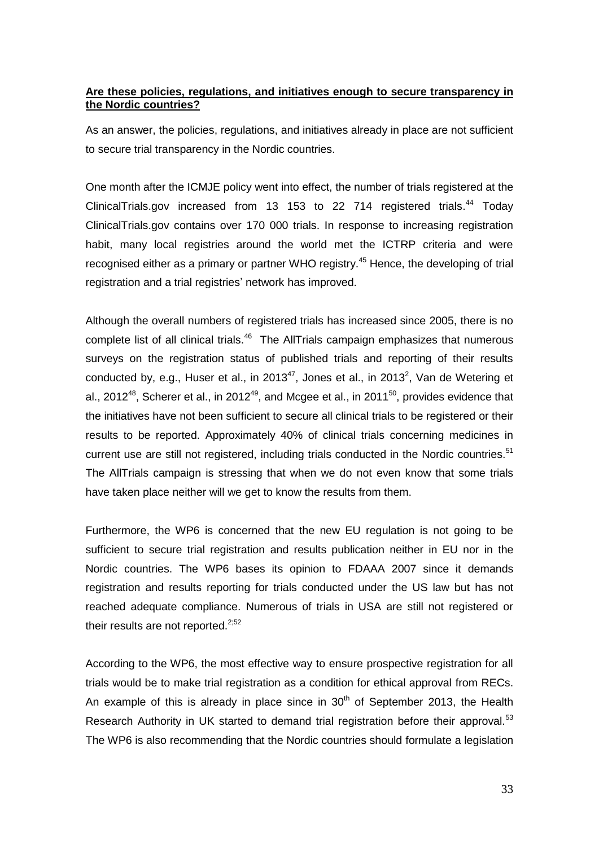# **Are these policies, regulations, and initiatives enough to secure transparency in the Nordic countries?**

As an answer, the policies, regulations, and initiatives already in place are not sufficient to secure trial transparency in the Nordic countries.

One month after the ICMJE policy went into effect, the number of trials registered at the ClinicalTrials.gov increased from 13 153 to 22 714 registered trials.<sup>44</sup> Today ClinicalTrials.gov contains over 170 000 trials. In response to increasing registration habit, many local registries around the world met the ICTRP criteria and were recognised either as a primary or partner WHO registry.<sup>45</sup> Hence, the developing of trial registration and a trial registries' network has improved.

Although the overall numbers of registered trials has increased since 2005, there is no complete list of all clinical trials.<sup>46</sup> The AllTrials campaign emphasizes that numerous surveys on the registration status of published trials and reporting of their results conducted by, e.g., Huser et al., in 2013 $47$ , Jones et al., in 2013<sup>2</sup>, Van de Wetering et al., 2012<sup>48</sup>, Scherer et al., in 2012<sup>49</sup>, and Mcgee et al., in 2011<sup>50</sup>, provides evidence that the initiatives have not been sufficient to secure all clinical trials to be registered or their results to be reported. Approximately 40% of clinical trials concerning medicines in current use are still not registered, including trials conducted in the Nordic countries.<sup>51</sup> The AllTrials campaign is stressing that when we do not even know that some trials have taken place neither will we get to know the results from them.

Furthermore, the WP6 is concerned that the new EU regulation is not going to be sufficient to secure trial registration and results publication neither in EU nor in the Nordic countries. The WP6 bases its opinion to FDAAA 2007 since it demands registration and results reporting for trials conducted under the US law but has not reached adequate compliance. Numerous of trials in USA are still not registered or their results are not reported. $^{2,52}$ 

According to the WP6, the most effective way to ensure prospective registration for all trials would be to make trial registration as a condition for ethical approval from RECs. An example of this is already in place since in  $30<sup>th</sup>$  of September 2013, the Health Research Authority in UK started to demand trial registration before their approval.<sup>53</sup> The WP6 is also recommending that the Nordic countries should formulate a legislation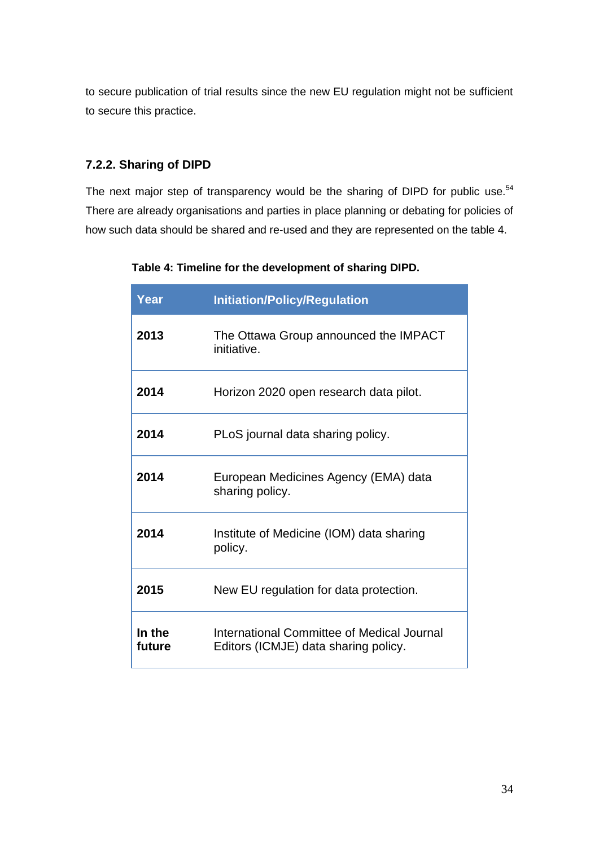to secure publication of trial results since the new EU regulation might not be sufficient to secure this practice.

# <span id="page-33-0"></span>**7.2.2. Sharing of DIPD**

The next major step of transparency would be the sharing of DIPD for public use.<sup>54</sup> There are already organisations and parties in place planning or debating for policies of how such data should be shared and re-used and they are represented on the table 4.

| Year             | <b>Initiation/Policy/Regulation</b>                                                |
|------------------|------------------------------------------------------------------------------------|
| 2013             | The Ottawa Group announced the IMPACT<br>initiative.                               |
| 2014             | Horizon 2020 open research data pilot.                                             |
| 2014             | PLoS journal data sharing policy.                                                  |
| 2014             | European Medicines Agency (EMA) data<br>sharing policy.                            |
| 2014             | Institute of Medicine (IOM) data sharing<br>policy.                                |
| 2015             | New EU regulation for data protection.                                             |
| In the<br>future | International Committee of Medical Journal<br>Editors (ICMJE) data sharing policy. |

 **Table 4: Timeline for the development of sharing DIPD.**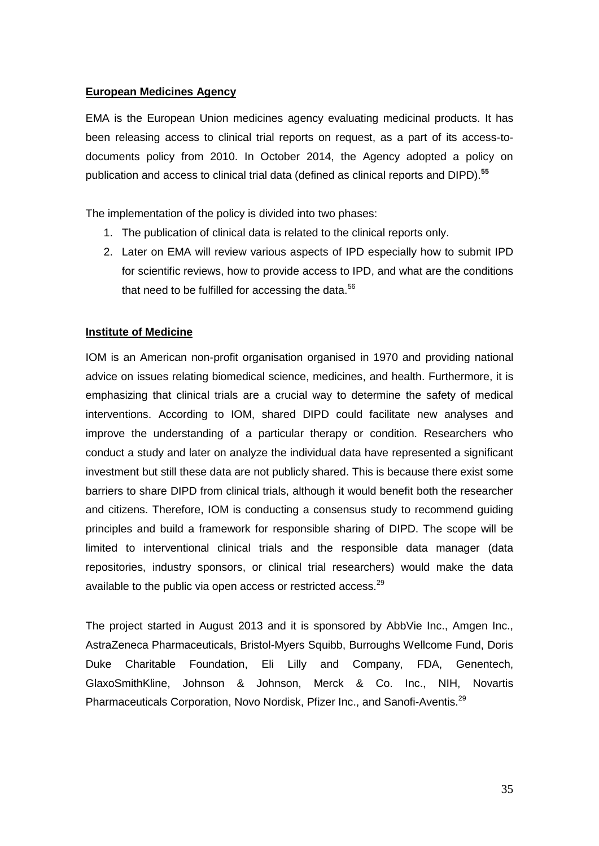# **European Medicines Agency**

EMA is the European Union medicines agency evaluating medicinal products. It has been releasing access to clinical trial reports on request, as a part of its access-todocuments policy from 2010. In October 2014, the Agency adopted a policy on publication and access to clinical trial data (defined as clinical reports and DIPD).**<sup>55</sup>**

The implementation of the policy is divided into two phases:

- 1. The publication of clinical data is related to the clinical reports only.
- 2. Later on EMA will review various aspects of IPD especially how to submit IPD for scientific reviews, how to provide access to IPD, and what are the conditions that need to be fulfilled for accessing the data.<sup>56</sup>

# **Institute of Medicine**

IOM is an American non-profit organisation organised in 1970 and providing national advice on issues relating biomedical science, medicines, and health. Furthermore, it is emphasizing that clinical trials are a crucial way to determine the safety of medical interventions. According to IOM, shared DIPD could facilitate new analyses and improve the understanding of a particular therapy or condition. Researchers who conduct a study and later on analyze the individual data have represented a significant investment but still these data are not publicly shared. This is because there exist some barriers to share DIPD from clinical trials, although it would benefit both the researcher and citizens. Therefore, IOM is conducting a consensus study to recommend guiding principles and build a framework for responsible sharing of DIPD. The scope will be limited to interventional clinical trials and the responsible data manager (data repositories, industry sponsors, or clinical trial researchers) would make the data available to the public via open access or restricted access.<sup>29</sup>

The project started in August 2013 and it is sponsored by AbbVie Inc., Amgen Inc., AstraZeneca Pharmaceuticals, Bristol-Myers Squibb, Burroughs Wellcome Fund, Doris Duke Charitable Foundation, Eli Lilly and Company, FDA, Genentech, GlaxoSmithKline, Johnson & Johnson, Merck & Co. Inc., NIH, Novartis Pharmaceuticals Corporation, Novo Nordisk, Pfizer Inc., and Sanofi-Aventis.<sup>29</sup>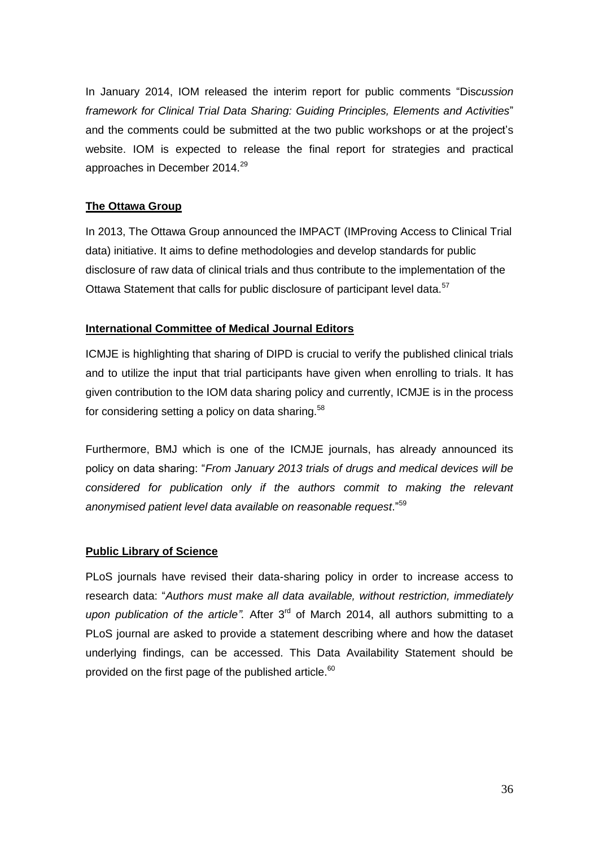In January 2014, IOM released the interim report for public comments "Dis*cussion framework for Clinical Trial Data Sharing: Guiding Principles, Elements and Activities*" and the comments could be submitted at the two public workshops or at the project's website. IOM is expected to release the final report for strategies and practical approaches in December 2014.<sup>29</sup>

# **The Ottawa Group**

In 2013, The Ottawa Group announced the IMPACT (IMProving Access to Clinical Trial data) initiative. It aims to define methodologies and develop standards for public disclosure of raw data of clinical trials and thus contribute to the implementation of the Ottawa Statement that calls for public disclosure of participant level data.<sup>57</sup>

# **International Committee of Medical Journal Editors**

ICMJE is highlighting that sharing of DIPD is crucial to verify the published clinical trials and to utilize the input that trial participants have given when enrolling to trials. It has given contribution to the IOM data sharing policy and currently, ICMJE is in the process for considering setting a policy on data sharing.<sup>58</sup>

Furthermore, BMJ which is one of the ICMJE journals, has already announced its policy on data sharing: "*From January 2013 trials of drugs and medical devices will be*  considered for publication only if the authors commit to making the relevant *anonymised patient level data available on reasonable request*." 59

# **Public Library of Science**

PLoS journals have revised their data-sharing policy in order to increase access to research data: "*Authors must make all data available, without restriction, immediately upon publication of the article*". After 3<sup>rd</sup> of March 2014, all authors submitting to a PLoS journal are asked to provide a statement describing where and how the dataset underlying findings, can be accessed. This Data Availability Statement should be provided on the first page of the published article.<sup>60</sup>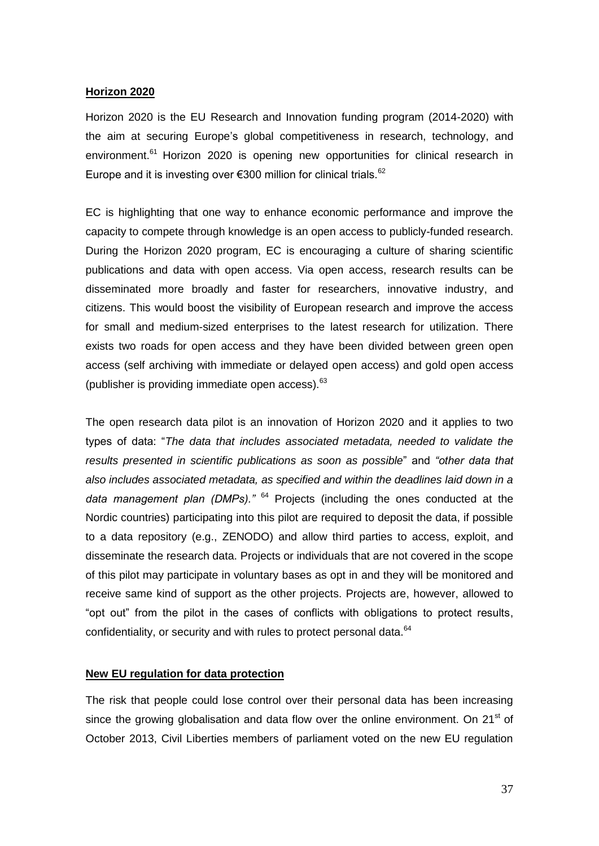#### **Horizon 2020**

Horizon 2020 is the EU Research and Innovation funding program (2014-2020) with the aim at securing Europe's global competitiveness in research, technology, and environment.<sup>61</sup> Horizon 2020 is opening new opportunities for clinical research in Europe and it is investing over €300 million for clinical trials. $62$ 

EC is highlighting that one way to enhance economic performance and improve the capacity to compete through knowledge is an open access to publicly-funded research. During the Horizon 2020 program, EC is encouraging a culture of sharing scientific publications and data with open access. Via open access, research results can be disseminated more broadly and faster for researchers, innovative industry, and citizens. This would boost the visibility of European research and improve the access for small and medium-sized enterprises to the latest research for utilization. There exists two roads for open access and they have been divided between green open access (self archiving with immediate or delayed open access) and gold open access (publisher is providing immediate open access). $63$ 

The open research data pilot is an innovation of Horizon 2020 and it applies to two types of data: "*The data that includes associated metadata, needed to validate the results presented in scientific publications as soon as possible*" and *"other data that also includes associated metadata, as specified and within the deadlines laid down in a data management plan (DMPs)."* <sup>64</sup> Projects (including the ones conducted at the Nordic countries) participating into this pilot are required to deposit the data, if possible to a data repository (e.g., ZENODO) and allow third parties to access, exploit, and disseminate the research data. Projects or individuals that are not covered in the scope of this pilot may participate in voluntary bases as opt in and they will be monitored and receive same kind of support as the other projects. Projects are, however, allowed to "opt out" from the pilot in the cases of conflicts with obligations to protect results, confidentiality, or security and with rules to protect personal data.<sup>64</sup>

#### **New EU regulation for data protection**

The risk that people could lose control over their personal data has been increasing since the growing globalisation and data flow over the online environment. On  $21<sup>st</sup>$  of October 2013, Civil Liberties members of parliament voted on the new EU regulation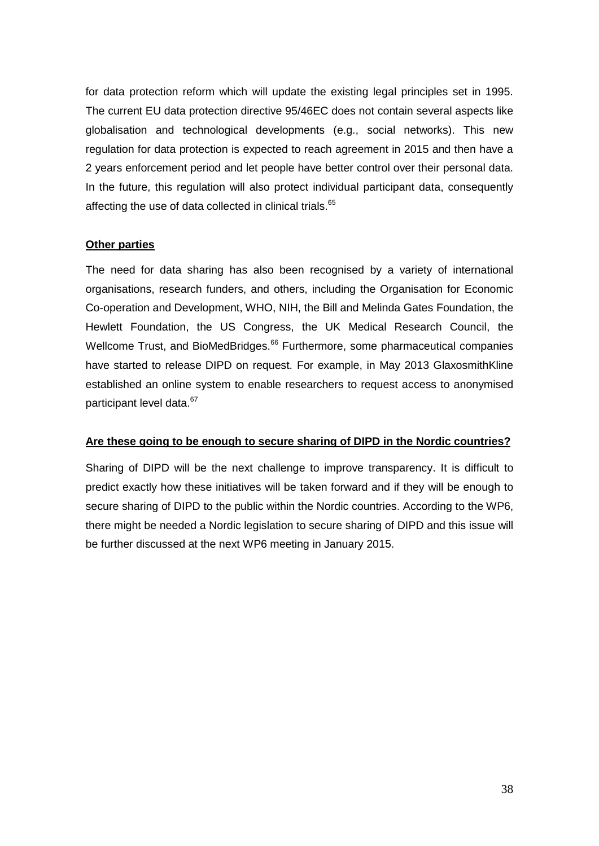for data protection reform which will update the existing legal principles set in 1995. The current EU data protection directive 95/46EC does not contain several aspects like globalisation and technological developments (e.g., social networks). This new regulation for data protection is expected to reach agreement in 2015 and then have a 2 years enforcement period and let people have better control over their personal data. In the future, this regulation will also protect individual participant data, consequently affecting the use of data collected in clinical trials.<sup>65</sup>

# **Other parties**

The need for data sharing has also been recognised by a variety of international organisations, research funders, and others, including the Organisation for Economic Co-operation and Development, WHO, NIH, the Bill and Melinda Gates Foundation, the Hewlett Foundation, the US Congress, the UK Medical Research Council, the Wellcome Trust, and BioMedBridges.<sup>66</sup> Furthermore, some pharmaceutical companies have started to release DIPD on request. For example, in May 2013 GlaxosmithKline established an online system to enable researchers to request access to anonymised participant level data.<sup>67</sup>

# **Are these going to be enough to secure sharing of DIPD in the Nordic countries?**

Sharing of DIPD will be the next challenge to improve transparency. It is difficult to predict exactly how these initiatives will be taken forward and if they will be enough to secure sharing of DIPD to the public within the Nordic countries. According to the WP6, there might be needed a Nordic legislation to secure sharing of DIPD and this issue will be further discussed at the next WP6 meeting in January 2015.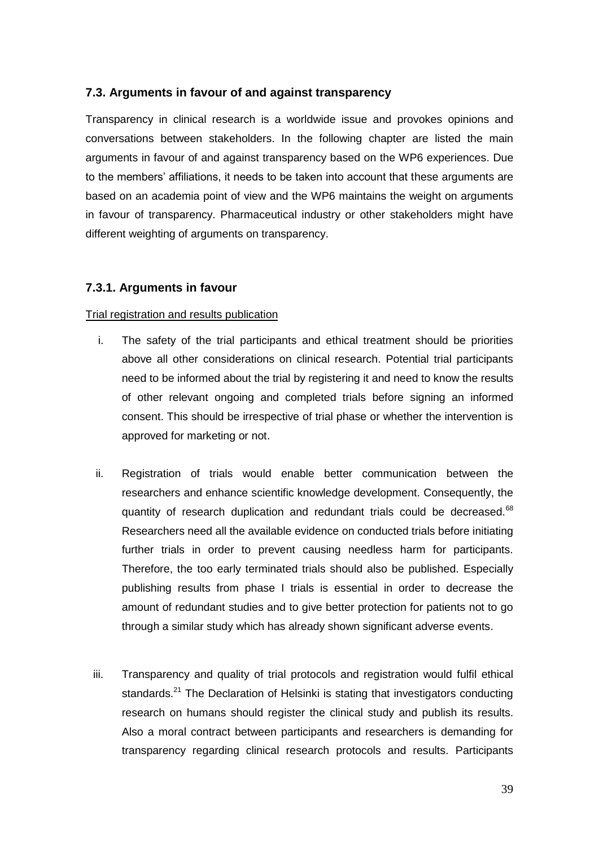# <span id="page-38-0"></span>**7.3. Arguments in favour of and against transparency**

Transparency in clinical research is a worldwide issue and provokes opinions and conversations between stakeholders. In the following chapter are listed the main arguments in favour of and against transparency based on the WP6 experiences. Due to the members' affiliations, it needs to be taken into account that these arguments are based on an academia point of view and the WP6 maintains the weight on arguments in favour of transparency. Pharmaceutical industry or other stakeholders might have different weighting of arguments on transparency.

# <span id="page-38-1"></span>**7.3.1. Arguments in favour**

#### Trial registration and results publication

- i. The safety of the trial participants and ethical treatment should be priorities above all other considerations on clinical research. Potential trial participants need to be informed about the trial by registering it and need to know the results of other relevant ongoing and completed trials before signing an informed consent. This should be irrespective of trial phase or whether the intervention is approved for marketing or not.
- ii. Registration of trials would enable better communication between the researchers and enhance scientific knowledge development. Consequently, the quantity of research duplication and redundant trials could be decreased.<sup>68</sup> Researchers need all the available evidence on conducted trials before initiating further trials in order to prevent causing needless harm for participants. Therefore, the too early terminated trials should also be published. Especially publishing results from phase I trials is essential in order to decrease the amount of redundant studies and to give better protection for patients not to go through a similar study which has already shown significant adverse events.
- iii. Transparency and quality of trial protocols and registration would fulfil ethical standards.<sup>21</sup> The Declaration of Helsinki is stating that investigators conducting research on humans should register the clinical study and publish its results. Also a moral contract between participants and researchers is demanding for transparency regarding clinical research protocols and results. Participants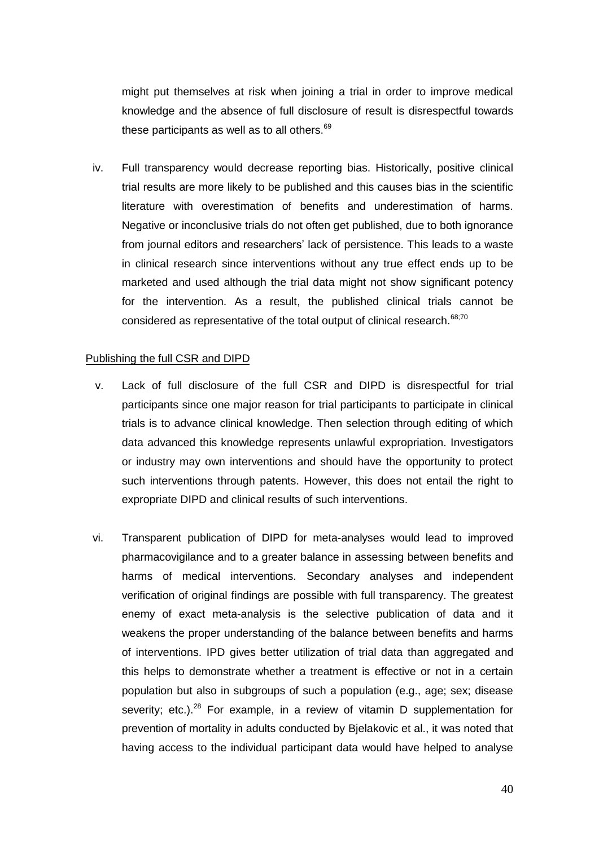might put themselves at risk when joining a trial in order to improve medical knowledge and the absence of full disclosure of result is disrespectful towards these participants as well as to all others. $69$ 

iv. Full transparency would decrease reporting bias. Historically, positive clinical trial results are more likely to be published and this causes bias in the scientific literature with overestimation of benefits and underestimation of harms. Negative or inconclusive trials do not often get published, due to both ignorance from journal editors and researchers' lack of persistence. This leads to a waste in clinical research since interventions without any true effect ends up to be marketed and used although the trial data might not show significant potency for the intervention. As a result, the published clinical trials cannot be considered as representative of the total output of clinical research.<sup>68,70</sup>

# Publishing the full CSR and DIPD

- v. Lack of full disclosure of the full CSR and DIPD is disrespectful for trial participants since one major reason for trial participants to participate in clinical trials is to advance clinical knowledge. Then selection through editing of which data advanced this knowledge represents unlawful expropriation. Investigators or industry may own interventions and should have the opportunity to protect such interventions through patents. However, this does not entail the right to expropriate DIPD and clinical results of such interventions.
- vi. Transparent publication of DIPD for meta-analyses would lead to improved pharmacovigilance and to a greater balance in assessing between benefits and harms of medical interventions. Secondary analyses and independent verification of original findings are possible with full transparency. The greatest enemy of exact meta-analysis is the selective publication of data and it weakens the proper understanding of the balance between benefits and harms of interventions. IPD gives better utilization of trial data than aggregated and this helps to demonstrate whether a treatment is effective or not in a certain population but also in subgroups of such a population (e.g., age; sex; disease severity; etc.).<sup>28</sup> For example, in a review of vitamin D supplementation for prevention of mortality in adults conducted by Bjelakovic et al., it was noted that having access to the individual participant data would have helped to analyse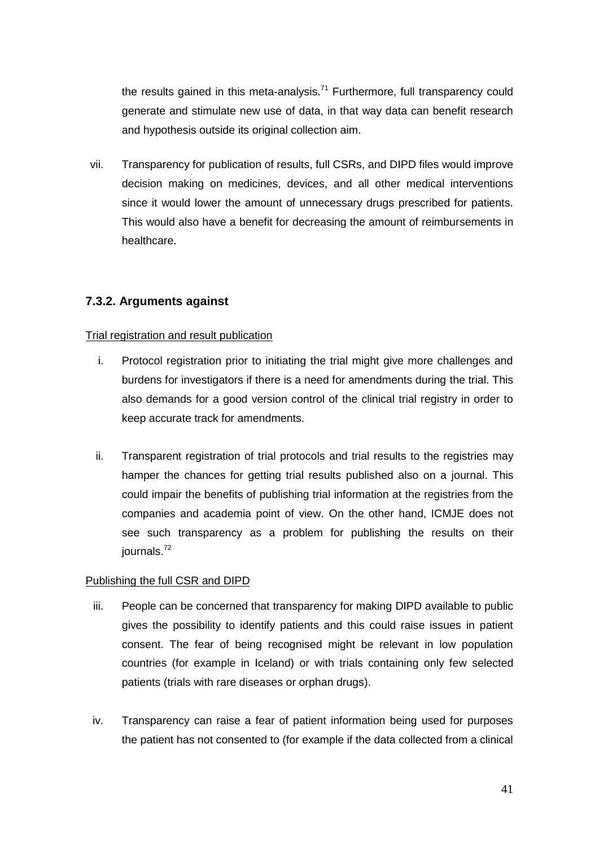the results gained in this meta-analysis.<sup>71</sup> Furthermore, full transparency could generate and stimulate new use of data, in that way data can benefit research and hypothesis outside its original collection aim.

vii. Transparency for publication of results, full CSRs, and DIPD files would improve decision making on medicines, devices, and all other medical interventions since it would lower the amount of unnecessary drugs prescribed for patients. This would also have a benefit for decreasing the amount of reimbursements in healthcare.

# <span id="page-40-0"></span>**7.3.2. Arguments against**

# Trial registration and result publication

- i. Protocol registration prior to initiating the trial might give more challenges and burdens for investigators if there is a need for amendments during the trial. This also demands for a good version control of the clinical trial registry in order to keep accurate track for amendments.
- ii. Transparent registration of trial protocols and trial results to the registries may hamper the chances for getting trial results published also on a journal. This could impair the benefits of publishing trial information at the registries from the companies and academia point of view. On the other hand, ICMJE does not see such transparency as a problem for publishing the results on their journals.<sup>72</sup>

# Publishing the full CSR and DIPD

- iii. People can be concerned that transparency for making DIPD available to public gives the possibility to identify patients and this could raise issues in patient consent. The fear of being recognised might be relevant in low population countries (for example in Iceland) or with trials containing only few selected patients (trials with rare diseases or orphan drugs).
- iv. Transparency can raise a fear of patient information being used for purposes the patient has not consented to (for example if the data collected from a clinical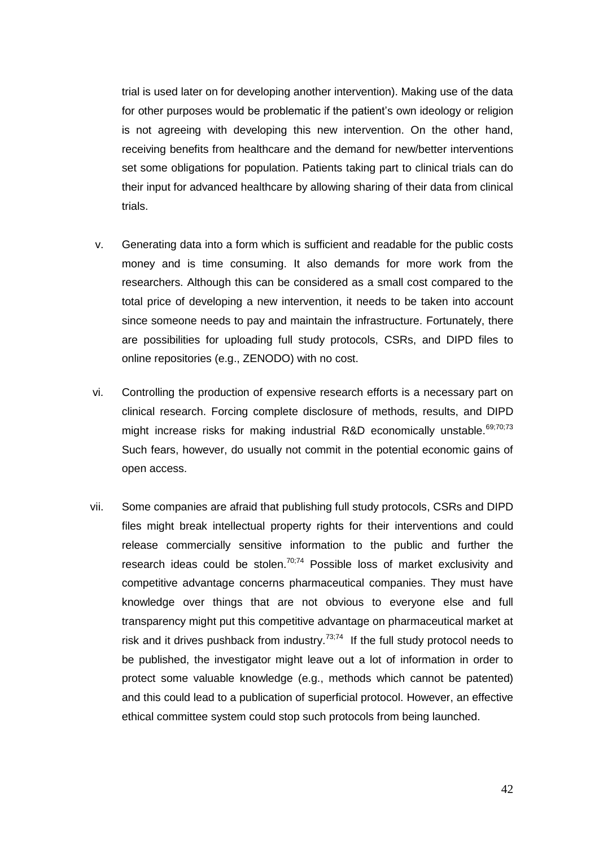trial is used later on for developing another intervention). Making use of the data for other purposes would be problematic if the patient's own ideology or religion is not agreeing with developing this new intervention. On the other hand, receiving benefits from healthcare and the demand for new/better interventions set some obligations for population. Patients taking part to clinical trials can do their input for advanced healthcare by allowing sharing of their data from clinical trials.

- v. Generating data into a form which is sufficient and readable for the public costs money and is time consuming. It also demands for more work from the researchers. Although this can be considered as a small cost compared to the total price of developing a new intervention, it needs to be taken into account since someone needs to pay and maintain the infrastructure. Fortunately, there are possibilities for uploading full study protocols, CSRs, and DIPD files to online repositories (e.g., ZENODO) with no cost.
- vi. Controlling the production of expensive research efforts is a necessary part on clinical research. Forcing complete disclosure of methods, results, and DIPD might increase risks for making industrial R&D economically unstable.  $69;70;73$ Such fears, however, do usually not commit in the potential economic gains of open access.
- vii. Some companies are afraid that publishing full study protocols, CSRs and DIPD files might break intellectual property rights for their interventions and could release commercially sensitive information to the public and further the research ideas could be stolen.<sup>70;74</sup> Possible loss of market exclusivity and competitive advantage concerns pharmaceutical companies. They must have knowledge over things that are not obvious to everyone else and full transparency might put this competitive advantage on pharmaceutical market at risk and it drives pushback from industry. $7^{3,74}$  If the full study protocol needs to be published, the investigator might leave out a lot of information in order to protect some valuable knowledge (e.g., methods which cannot be patented) and this could lead to a publication of superficial protocol. However, an effective ethical committee system could stop such protocols from being launched.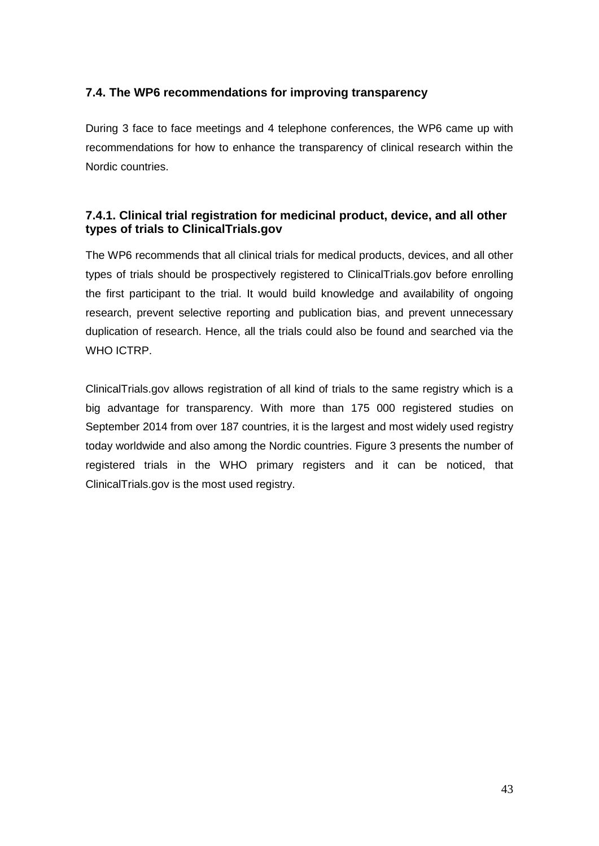# <span id="page-42-0"></span>**7.4. The WP6 recommendations for improving transparency**

During 3 face to face meetings and 4 telephone conferences, the WP6 came up with recommendations for how to enhance the transparency of clinical research within the Nordic countries.

# <span id="page-42-1"></span>**7.4.1. Clinical trial registration for medicinal product, device, and all other types of trials to ClinicalTrials.gov**

The WP6 recommends that all clinical trials for medical products, devices, and all other types of trials should be prospectively registered to ClinicalTrials.gov before enrolling the first participant to the trial. It would build knowledge and availability of ongoing research, prevent selective reporting and publication bias, and prevent unnecessary duplication of research. Hence, all the trials could also be found and searched via the WHO ICTRP.

ClinicalTrials.gov allows registration of all kind of trials to the same registry which is a big advantage for transparency. With more than 175 000 registered studies on September 2014 from over 187 countries, it is the largest and most widely used registry today worldwide and also among the Nordic countries. Figure 3 presents the number of registered trials in the WHO primary registers and it can be noticed, that ClinicalTrials.gov is the most used registry.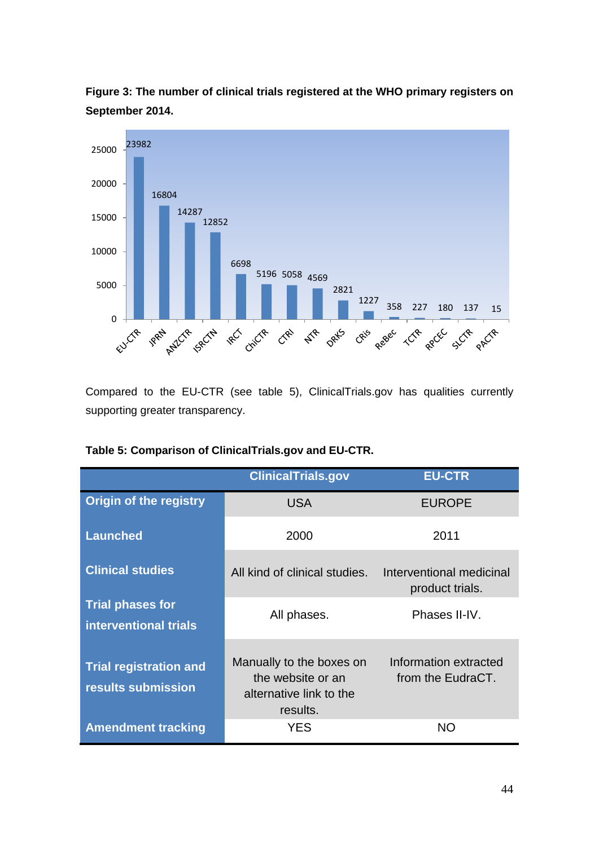

**Figure 3: The number of clinical trials registered at the WHO primary registers on September 2014.**

Compared to the EU-CTR (see table 5), ClinicalTrials.gov has qualities currently supporting greater transparency.

|                                                     | <b>ClinicalTrials.gov</b>                                                            | <b>EU-CTR</b>                               |
|-----------------------------------------------------|--------------------------------------------------------------------------------------|---------------------------------------------|
| <b>Origin of the registry</b>                       | <b>USA</b>                                                                           | <b>EUROPE</b>                               |
| <b>Launched</b>                                     | 2000                                                                                 | 2011                                        |
| <b>Clinical studies</b>                             | All kind of clinical studies.                                                        | Interventional medicinal<br>product trials. |
| <b>Trial phases for</b><br>interventional trials    | All phases.                                                                          | Phases II-IV.                               |
| <b>Trial registration and</b><br>results submission | Manually to the boxes on<br>the website or an<br>alternative link to the<br>results. | Information extracted<br>from the EudraCT.  |
| <b>Amendment tracking</b>                           | <b>YES</b>                                                                           | <b>NO</b>                                   |

|  | Table 5: Comparison of ClinicalTrials.gov and EU-CTR. |  |
|--|-------------------------------------------------------|--|
|  |                                                       |  |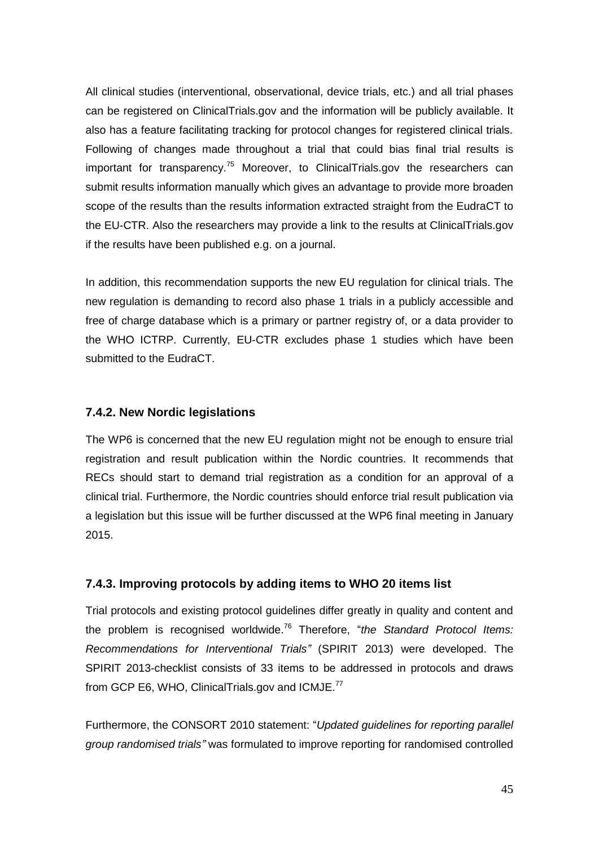All clinical studies (interventional, observational, device trials, etc.) and all trial phases can be registered on ClinicalTrials.gov and the information will be publicly available. It also has a feature facilitating tracking for protocol changes for registered clinical trials. Following of changes made throughout a trial that could bias final trial results is important for transparency.<sup>75</sup> Moreover, to ClinicalTrials.gov the researchers can submit results information manually which gives an advantage to provide more broaden scope of the results than the results information extracted straight from the EudraCT to the EU-CTR. Also the researchers may provide a link to the results at ClinicalTrials.gov if the results have been published e.g. on a journal.

In addition, this recommendation supports the new EU regulation for clinical trials. The new regulation is demanding to record also phase 1 trials in a publicly accessible and free of charge database which is a primary or partner registry of, or a data provider to the WHO ICTRP. Currently, EU-CTR excludes phase 1 studies which have been submitted to the EudraCT.

# <span id="page-44-0"></span>**7.4.2. New Nordic legislations**

The WP6 is concerned that the new EU regulation might not be enough to ensure trial registration and result publication within the Nordic countries. It recommends that RECs should start to demand trial registration as a condition for an approval of a clinical trial. Furthermore, the Nordic countries should enforce trial result publication via a legislation but this issue will be further discussed at the WP6 final meeting in January 2015.

# <span id="page-44-1"></span>**7.4.3. Improving protocols by adding items to WHO 20 items list**

Trial protocols and existing protocol guidelines differ greatly in quality and content and the problem is recognised worldwide. <sup>76</sup> Therefore, "*the Standard Protocol Items: Recommendations for Interventional Trials"* (SPIRIT 2013) were developed. The SPIRIT 2013-checklist consists of 33 items to be addressed in protocols and draws from GCP E6, WHO, ClinicalTrials.gov and ICMJE.<sup>77</sup>

Furthermore, the CONSORT 2010 statement: "*Updated guidelines for reporting parallel group randomised trials"* was formulated to improve reporting for randomised controlled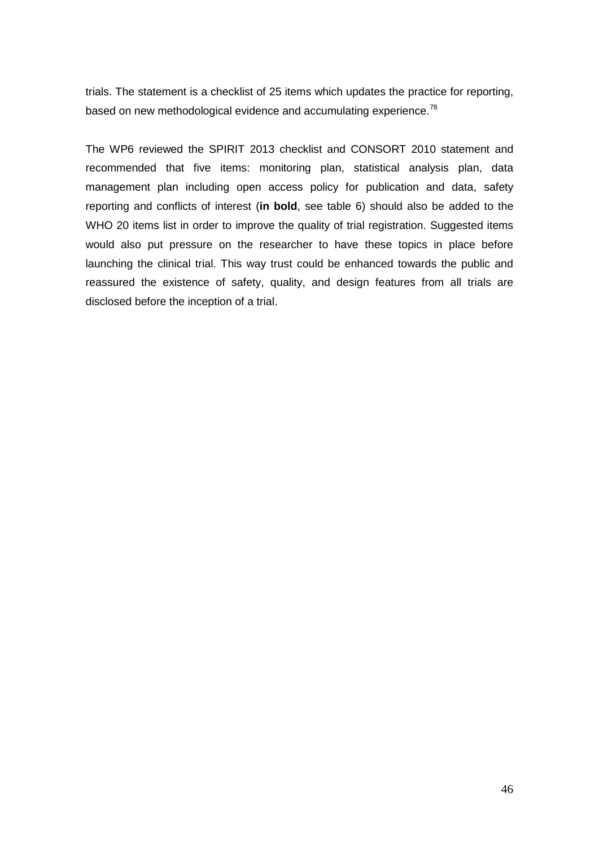trials. The statement is a checklist of 25 items which updates the practice for reporting, based on new methodological evidence and accumulating experience.<sup>78</sup>

The WP6 reviewed the SPIRIT 2013 checklist and CONSORT 2010 statement and recommended that five items: monitoring plan, statistical analysis plan, data management plan including open access policy for publication and data, safety reporting and conflicts of interest (**in bold**, see table 6) should also be added to the WHO 20 items list in order to improve the quality of trial registration. Suggested items would also put pressure on the researcher to have these topics in place before launching the clinical trial. This way trust could be enhanced towards the public and reassured the existence of safety, quality, and design features from all trials are disclosed before the inception of a trial.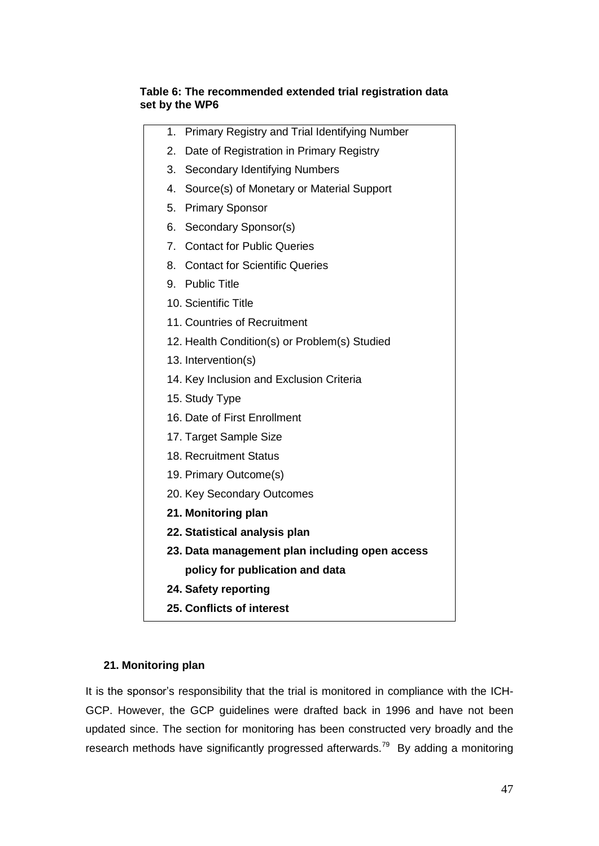# **Table 6: The recommended extended trial registration data set by the WP6**

| 1. | Primary Registry and Trial Identifying Number  |
|----|------------------------------------------------|
| 2. | Date of Registration in Primary Registry       |
| 3. | <b>Secondary Identifying Numbers</b>           |
| 4. | Source(s) of Monetary or Material Support      |
| 5. | <b>Primary Sponsor</b>                         |
| 6. | Secondary Sponsor(s)                           |
|    | 7. Contact for Public Queries                  |
|    | 8. Contact for Scientific Queries              |
|    | 9. Public Title                                |
|    | 10. Scientific Title                           |
|    | 11. Countries of Recruitment                   |
|    | 12. Health Condition(s) or Problem(s) Studied  |
|    | 13. Intervention(s)                            |
|    | 14. Key Inclusion and Exclusion Criteria       |
|    | 15. Study Type                                 |
|    | 16. Date of First Enrollment                   |
|    | 17. Target Sample Size                         |
|    | 18. Recruitment Status                         |
|    | 19. Primary Outcome(s)                         |
|    | 20. Key Secondary Outcomes                     |
|    | 21. Monitoring plan                            |
|    | 22. Statistical analysis plan                  |
|    | 23. Data management plan including open access |
|    | policy for publication and data                |
|    | 24. Safety reporting                           |
|    | 25. Conflicts of interest                      |

# **21. Monitoring plan**

It is the sponsor's responsibility that the trial is monitored in compliance with the ICH-GCP. However, the GCP guidelines were drafted back in 1996 and have not been updated since. The section for monitoring has been constructed very broadly and the research methods have significantly progressed afterwards.<sup>79</sup> By adding a monitoring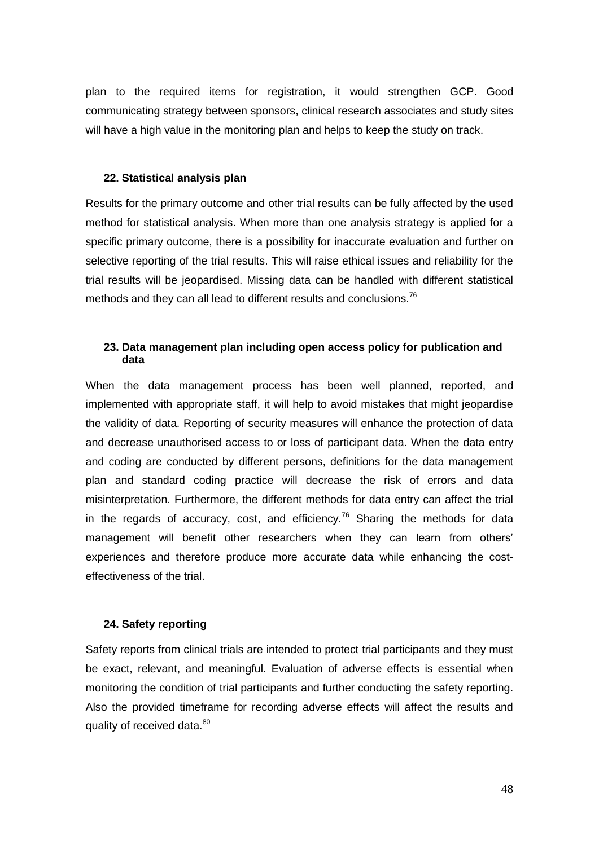plan to the required items for registration, it would strengthen GCP. Good communicating strategy between sponsors, clinical research associates and study sites will have a high value in the monitoring plan and helps to keep the study on track.

#### **22. Statistical analysis plan**

Results for the primary outcome and other trial results can be fully affected by the used method for statistical analysis. When more than one analysis strategy is applied for a specific primary outcome, there is a possibility for inaccurate evaluation and further on selective reporting of the trial results. This will raise ethical issues and reliability for the trial results will be jeopardised. Missing data can be handled with different statistical methods and they can all lead to different results and conclusions. $^{76}$ 

# **23. Data management plan including open access policy for publication and data**

When the data management process has been well planned, reported, and implemented with appropriate staff, it will help to avoid mistakes that might jeopardise the validity of data. Reporting of security measures will enhance the protection of data and decrease unauthorised access to or loss of participant data. When the data entry and coding are conducted by different persons, definitions for the data management plan and standard coding practice will decrease the risk of errors and data misinterpretation. Furthermore, the different methods for data entry can affect the trial in the regards of accuracy, cost, and efficiency.<sup>76</sup> Sharing the methods for data management will benefit other researchers when they can learn from others' experiences and therefore produce more accurate data while enhancing the costeffectiveness of the trial.

# **24. Safety reporting**

Safety reports from clinical trials are intended to protect trial participants and they must be exact, relevant, and meaningful. Evaluation of adverse effects is essential when monitoring the condition of trial participants and further conducting the safety reporting. Also the provided timeframe for recording adverse effects will affect the results and quality of received data.<sup>80</sup>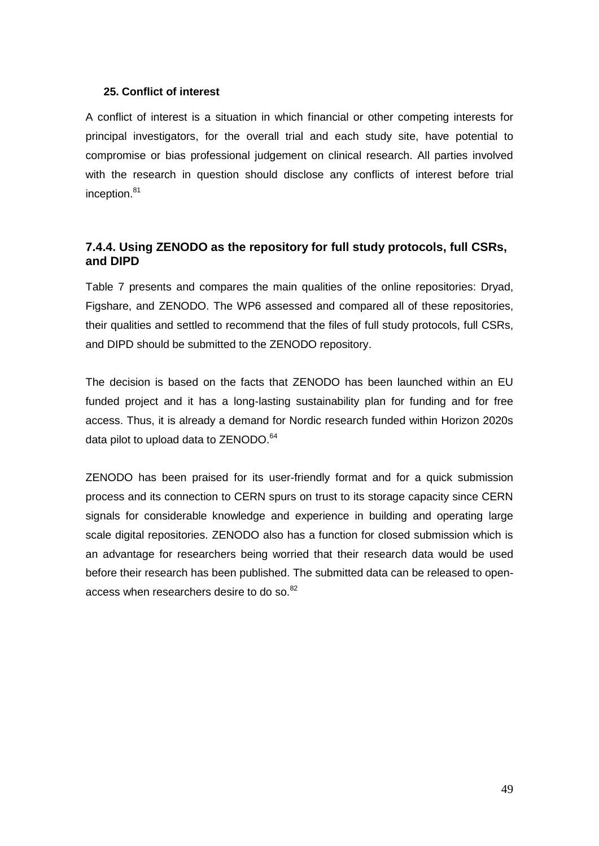# **25. Conflict of interest**

A conflict of interest is a situation in which financial or other competing interests for principal investigators, for the overall trial and each study site, have potential to compromise or bias professional judgement on clinical research. All parties involved with the research in question should disclose any conflicts of interest before trial inception. 81

# <span id="page-48-0"></span>**7.4.4. Using ZENODO as the repository for full study protocols, full CSRs, and DIPD**

Table 7 presents and compares the main qualities of the online repositories: Dryad, Figshare, and ZENODO. The WP6 assessed and compared all of these repositories, their qualities and settled to recommend that the files of full study protocols, full CSRs, and DIPD should be submitted to the ZENODO repository.

The decision is based on the facts that ZENODO has been launched within an EU funded project and it has a long-lasting sustainability plan for funding and for free access. Thus, it is already a demand for Nordic research funded within Horizon 2020s data pilot to upload data to ZENODO.<sup>64</sup>

ZENODO has been praised for its user-friendly format and for a quick submission process and its connection to CERN spurs on trust to its storage capacity since CERN signals for considerable knowledge and experience in building and operating large scale digital repositories. ZENODO also has a function for closed submission which is an advantage for researchers being worried that their research data would be used before their research has been published. The submitted data can be released to openaccess when researchers desire to do so.<sup>82</sup>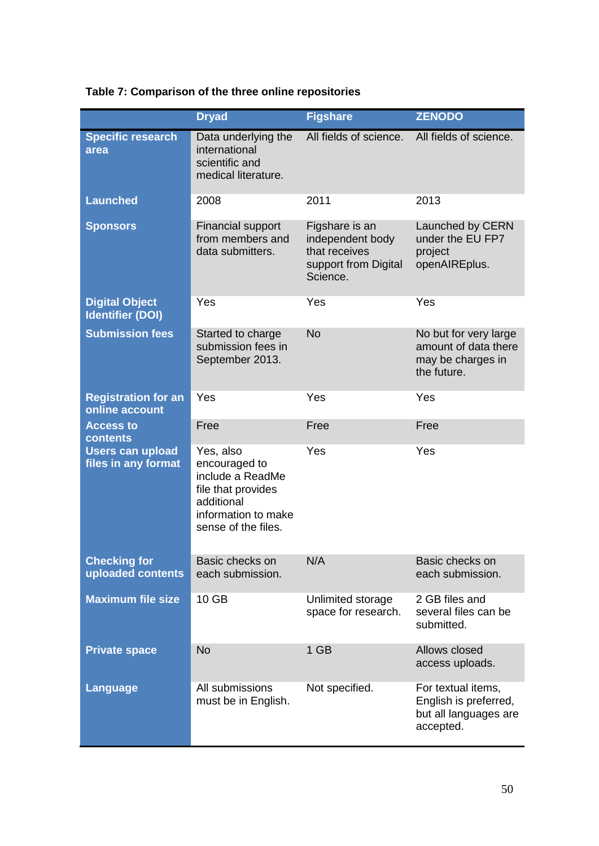|                                                  | <b>Dryad</b>                                                                                                                     | <b>Figshare</b>                                                                         | <b>ZENODO</b>                                                                     |
|--------------------------------------------------|----------------------------------------------------------------------------------------------------------------------------------|-----------------------------------------------------------------------------------------|-----------------------------------------------------------------------------------|
| <b>Specific research</b><br>area                 | Data underlying the<br>international<br>scientific and<br>medical literature.                                                    | All fields of science.                                                                  | All fields of science.                                                            |
| <b>Launched</b>                                  | 2008                                                                                                                             | 2011                                                                                    | 2013                                                                              |
| <b>Sponsors</b>                                  | <b>Financial support</b><br>from members and<br>data submitters.                                                                 | Figshare is an<br>independent body<br>that receives<br>support from Digital<br>Science. | Launched by CERN<br>under the EU FP7<br>project<br>openAIREplus.                  |
| <b>Digital Object</b><br><b>Identifier (DOI)</b> | Yes                                                                                                                              | Yes                                                                                     | Yes                                                                               |
| <b>Submission fees</b>                           | Started to charge<br>submission fees in<br>September 2013.                                                                       | <b>No</b>                                                                               | No but for very large<br>amount of data there<br>may be charges in<br>the future. |
| <b>Registration for an</b><br>online account     | Yes                                                                                                                              | Yes                                                                                     | Yes                                                                               |
| <b>Access to</b><br>contents                     | Free                                                                                                                             | Free                                                                                    | Free                                                                              |
| <b>Users can upload</b><br>files in any format   | Yes, also<br>encouraged to<br>include a ReadMe<br>file that provides<br>additional<br>information to make<br>sense of the files. | Yes                                                                                     | Yes                                                                               |
| <b>Checking for</b><br>uploaded contents         | Basic checks on<br>each submission.                                                                                              | N/A                                                                                     | Basic checks on<br>each submission.                                               |
| <b>Maximum file size</b>                         | 10 GB                                                                                                                            | Unlimited storage<br>space for research.                                                | 2 GB files and<br>several files can be<br>submitted.                              |
| <b>Private space</b>                             | <b>No</b>                                                                                                                        | 1 GB                                                                                    | Allows closed<br>access uploads.                                                  |
| <b>Language</b>                                  | All submissions<br>must be in English.                                                                                           | Not specified.                                                                          | For textual items,<br>English is preferred,<br>but all languages are              |

# **Table 7: Comparison of the three online repositories**

accepted.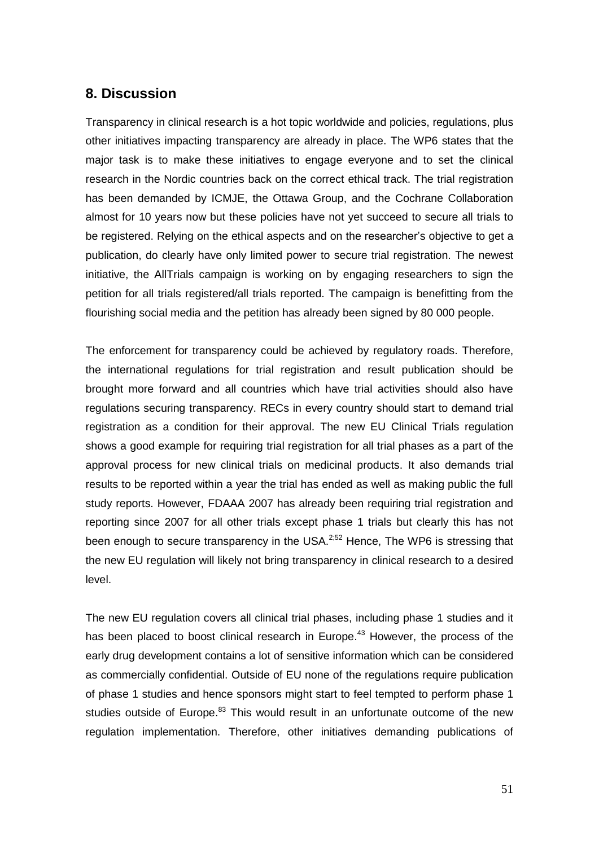# <span id="page-50-0"></span>**8. Discussion**

Transparency in clinical research is a hot topic worldwide and policies, regulations, plus other initiatives impacting transparency are already in place. The WP6 states that the major task is to make these initiatives to engage everyone and to set the clinical research in the Nordic countries back on the correct ethical track. The trial registration has been demanded by ICMJE, the Ottawa Group, and the Cochrane Collaboration almost for 10 years now but these policies have not yet succeed to secure all trials to be registered. Relying on the ethical aspects and on the researcher's objective to get a publication, do clearly have only limited power to secure trial registration. The newest initiative, the AllTrials campaign is working on by engaging researchers to sign the petition for all trials registered/all trials reported. The campaign is benefitting from the flourishing social media and the petition has already been signed by 80 000 people.

The enforcement for transparency could be achieved by regulatory roads. Therefore, the international regulations for trial registration and result publication should be brought more forward and all countries which have trial activities should also have regulations securing transparency. RECs in every country should start to demand trial registration as a condition for their approval. The new EU Clinical Trials regulation shows a good example for requiring trial registration for all trial phases as a part of the approval process for new clinical trials on medicinal products. It also demands trial results to be reported within a year the trial has ended as well as making public the full study reports. However, FDAAA 2007 has already been requiring trial registration and reporting since 2007 for all other trials except phase 1 trials but clearly this has not been enough to secure transparency in the USA. $2.52$  Hence, The WP6 is stressing that the new EU regulation will likely not bring transparency in clinical research to a desired level.

The new EU regulation covers all clinical trial phases, including phase 1 studies and it has been placed to boost clinical research in Europe.<sup>43</sup> However, the process of the early drug development contains a lot of sensitive information which can be considered as commercially confidential. Outside of EU none of the regulations require publication of phase 1 studies and hence sponsors might start to feel tempted to perform phase 1 studies outside of Europe.<sup>83</sup> This would result in an unfortunate outcome of the new regulation implementation. Therefore, other initiatives demanding publications of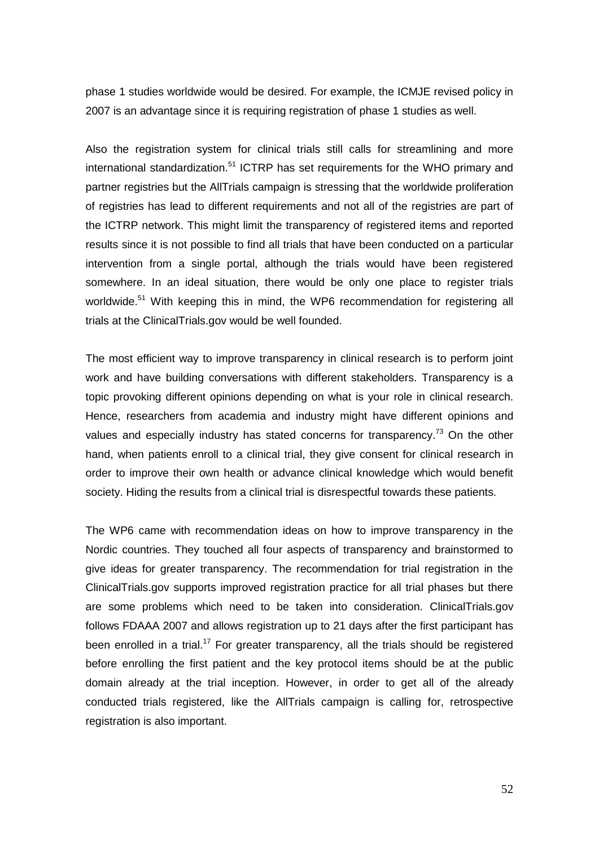phase 1 studies worldwide would be desired. For example, the ICMJE revised policy in 2007 is an advantage since it is requiring registration of phase 1 studies as well.

Also the registration system for clinical trials still calls for streamlining and more international standardization.<sup>51</sup> ICTRP has set requirements for the WHO primary and partner registries but the AllTrials campaign is stressing that the worldwide proliferation of registries has lead to different requirements and not all of the registries are part of the ICTRP network. This might limit the transparency of registered items and reported results since it is not possible to find all trials that have been conducted on a particular intervention from a single portal, although the trials would have been registered somewhere. In an ideal situation, there would be only one place to register trials worldwide.<sup>51</sup> With keeping this in mind, the WP6 recommendation for registering all trials at the ClinicalTrials.gov would be well founded.

The most efficient way to improve transparency in clinical research is to perform joint work and have building conversations with different stakeholders. Transparency is a topic provoking different opinions depending on what is your role in clinical research. Hence, researchers from academia and industry might have different opinions and values and especially industry has stated concerns for transparency.<sup>73</sup> On the other hand, when patients enroll to a clinical trial, they give consent for clinical research in order to improve their own health or advance clinical knowledge which would benefit society. Hiding the results from a clinical trial is disrespectful towards these patients.

The WP6 came with recommendation ideas on how to improve transparency in the Nordic countries. They touched all four aspects of transparency and brainstormed to give ideas for greater transparency. The recommendation for trial registration in the ClinicalTrials.gov supports improved registration practice for all trial phases but there are some problems which need to be taken into consideration. ClinicalTrials.gov follows FDAAA 2007 and allows registration up to 21 days after the first participant has been enrolled in a trial.<sup>17</sup> For greater transparency, all the trials should be registered before enrolling the first patient and the key protocol items should be at the public domain already at the trial inception. However, in order to get all of the already conducted trials registered, like the AllTrials campaign is calling for, retrospective registration is also important.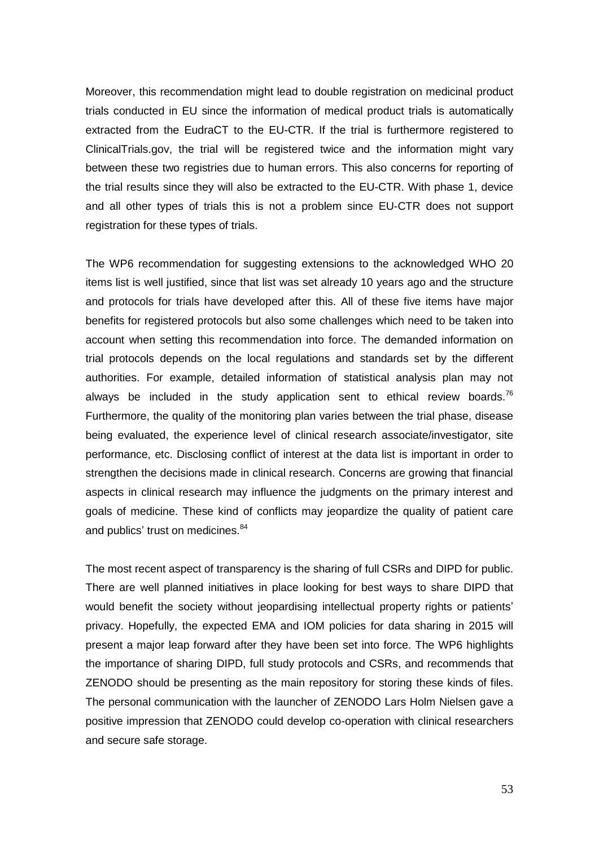Moreover, this recommendation might lead to double registration on medicinal product trials conducted in EU since the information of medical product trials is automatically extracted from the EudraCT to the EU-CTR. If the trial is furthermore registered to ClinicalTrials.gov, the trial will be registered twice and the information might vary between these two registries due to human errors. This also concerns for reporting of the trial results since they will also be extracted to the EU-CTR. With phase 1, device and all other types of trials this is not a problem since EU-CTR does not support registration for these types of trials.

The WP6 recommendation for suggesting extensions to the acknowledged WHO 20 items list is well justified, since that list was set already 10 years ago and the structure and protocols for trials have developed after this. All of these five items have major benefits for registered protocols but also some challenges which need to be taken into account when setting this recommendation into force. The demanded information on trial protocols depends on the local regulations and standards set by the different authorities. For example, detailed information of statistical analysis plan may not always be included in the study application sent to ethical review boards.<sup>76</sup> Furthermore, the quality of the monitoring plan varies between the trial phase, disease being evaluated, the experience level of clinical research associate/investigator, site performance, etc. Disclosing conflict of interest at the data list is important in order to strengthen the decisions made in clinical research. Concerns are growing that financial aspects in clinical research may influence the judgments on the primary interest and goals of medicine. These kind of conflicts may jeopardize the quality of patient care and publics' trust on medicines.<sup>84</sup>

The most recent aspect of transparency is the sharing of full CSRs and DIPD for public. There are well planned initiatives in place looking for best ways to share DIPD that would benefit the society without jeopardising intellectual property rights or patients' privacy. Hopefully, the expected EMA and IOM policies for data sharing in 2015 will present a major leap forward after they have been set into force. The WP6 highlights the importance of sharing DIPD, full study protocols and CSRs, and recommends that ZENODO should be presenting as the main repository for storing these kinds of files. The personal communication with the launcher of ZENODO Lars Holm Nielsen gave a positive impression that ZENODO could develop co-operation with clinical researchers and secure safe storage.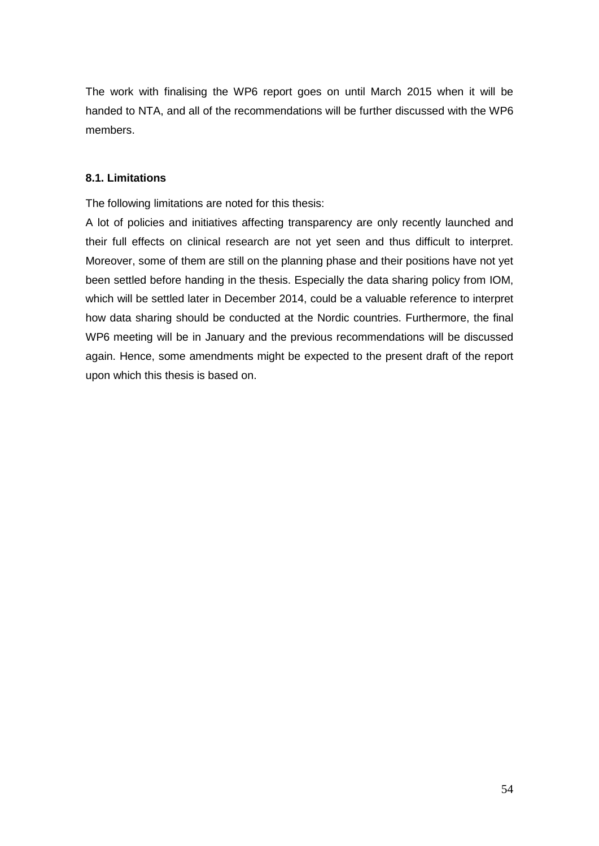The work with finalising the WP6 report goes on until March 2015 when it will be handed to NTA, and all of the recommendations will be further discussed with the WP6 members.

# <span id="page-53-0"></span>**8.1. Limitations**

The following limitations are noted for this thesis:

A lot of policies and initiatives affecting transparency are only recently launched and their full effects on clinical research are not yet seen and thus difficult to interpret. Moreover, some of them are still on the planning phase and their positions have not yet been settled before handing in the thesis. Especially the data sharing policy from IOM, which will be settled later in December 2014, could be a valuable reference to interpret how data sharing should be conducted at the Nordic countries. Furthermore, the final WP6 meeting will be in January and the previous recommendations will be discussed again. Hence, some amendments might be expected to the present draft of the report upon which this thesis is based on.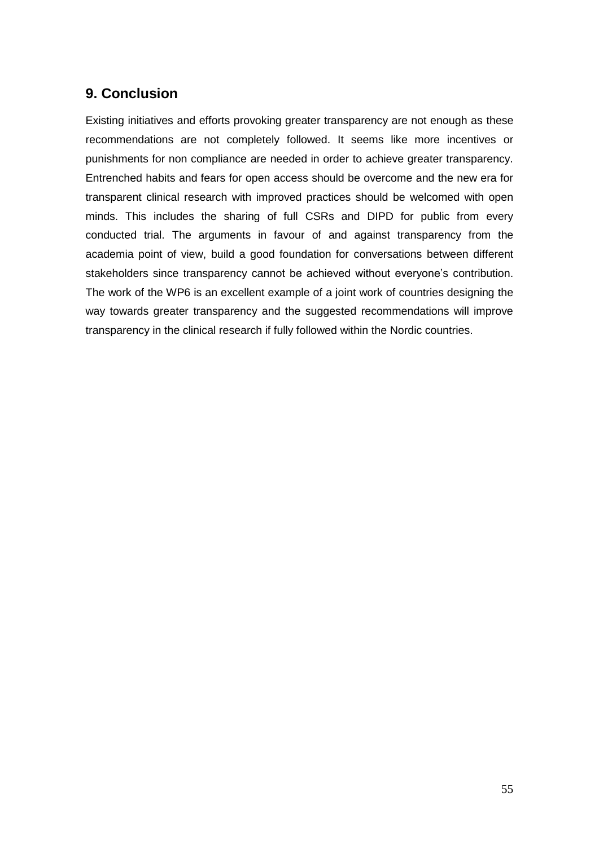# <span id="page-54-0"></span>**9. Conclusion**

Existing initiatives and efforts provoking greater transparency are not enough as these recommendations are not completely followed. It seems like more incentives or punishments for non compliance are needed in order to achieve greater transparency. Entrenched habits and fears for open access should be overcome and the new era for transparent clinical research with improved practices should be welcomed with open minds. This includes the sharing of full CSRs and DIPD for public from every conducted trial. The arguments in favour of and against transparency from the academia point of view, build a good foundation for conversations between different stakeholders since transparency cannot be achieved without everyone's contribution. The work of the WP6 is an excellent example of a joint work of countries designing the way towards greater transparency and the suggested recommendations will improve transparency in the clinical research if fully followed within the Nordic countries.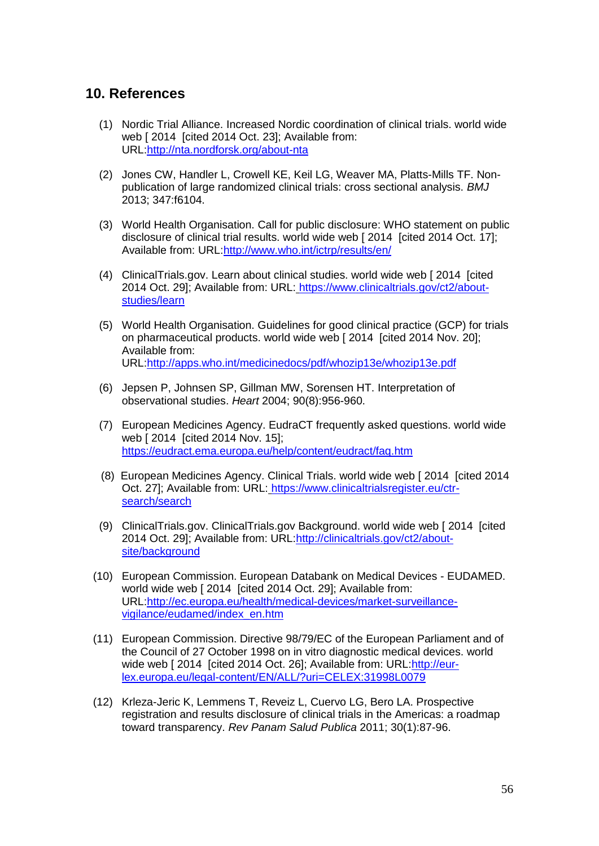# <span id="page-55-0"></span>**10. References**

- (1) Nordic Trial Alliance. Increased Nordic coordination of clinical trials. world wide web [ 2014 [ cited 2014 Oct. 23]; Available from: URL[:http://nta.nordforsk.org/about-nta](http://nta.nordforsk.org/about-nta)
- (2) Jones CW, Handler L, Crowell KE, Keil LG, Weaver MA, Platts-Mills TF. Nonpublication of large randomized clinical trials: cross sectional analysis. *BMJ* 2013; 347:f6104.
- (3) World Health Organisation. Call for public disclosure: WHO statement on public disclosure of clinical trial results. world wide web [ 2014 [cited 2014 Oct. 17]; Available from: URL[:http://www.who.int/ictrp/results/en/](http://www.who.int/ictrp/results/en/)
- (4) ClinicalTrials.gov. Learn about clinical studies. world wide web [ 2014 [cited 2014 Oct. 29]; Available from: URL: [https://www.clinicaltrials.gov/ct2/about](https://www.clinicaltrials.gov/ct2/about-studies/learn)[studies/learn](https://www.clinicaltrials.gov/ct2/about-studies/learn)
- (5) World Health Organisation. Guidelines for good clinical practice (GCP) for trials on pharmaceutical products. world wide web [ 2014 [cited 2014 Nov. 20]; Available from: URL[:http://apps.who.int/medicinedocs/pdf/whozip13e/whozip13e.pdf](http://apps.who.int/medicinedocs/pdf/whozip13e/whozip13e.pdf)
- (6) Jepsen P, Johnsen SP, Gillman MW, Sorensen HT. Interpretation of observational studies. *Heart* 2004; 90(8):956-960.
- (7) European Medicines Agency. EudraCT frequently asked questions. world wide web [ 2014 [cited 2014 Nov. 15]; <https://eudract.ema.europa.eu/help/content/eudract/faq.htm>
- (8) European Medicines Agency. Clinical Trials. world wide web [ 2014 [cited 2014 Oct. 27]; Available from: URL: [https://www.clinicaltrialsregister.eu/ctr](https://www.clinicaltrialsregister.eu/ctr-search/search)[search/search](https://www.clinicaltrialsregister.eu/ctr-search/search)
- (9) ClinicalTrials.gov. ClinicalTrials.gov Background. world wide web [ 2014 [cited 2014 Oct. 29]; Available from: URL[:http://clinicaltrials.gov/ct2/about](http://clinicaltrials.gov/ct2/about-site/background)[site/background](http://clinicaltrials.gov/ct2/about-site/background)
- (10) European Commission. European Databank on Medical Devices EUDAMED. world wide web [ 2014 [cited 2014 Oct. 29]; Available from: URL[:http://ec.europa.eu/health/medical-devices/market-surveillance](http://ec.europa.eu/health/medical-devices/market-surveillance-vigilance/eudamed/index_en.htm)[vigilance/eudamed/index\\_en.htm](http://ec.europa.eu/health/medical-devices/market-surveillance-vigilance/eudamed/index_en.htm)
- (11) European Commission. Directive 98/79/EC of the European Parliament and of the Council of 27 October 1998 on in vitro diagnostic medical devices. world wide web [ 2014 [cited 2014 Oct. 26]; Available from: URL[:http://eur](http://eur-lex.europa.eu/legal-content/EN/ALL/?uri=CELEX:31998L0079)[lex.europa.eu/legal-content/EN/ALL/?uri=CELEX:31998L0079](http://eur-lex.europa.eu/legal-content/EN/ALL/?uri=CELEX:31998L0079)
- (12) Krleza-Jeric K, Lemmens T, Reveiz L, Cuervo LG, Bero LA. Prospective registration and results disclosure of clinical trials in the Americas: a roadmap toward transparency. *Rev Panam Salud Publica* 2011; 30(1):87-96.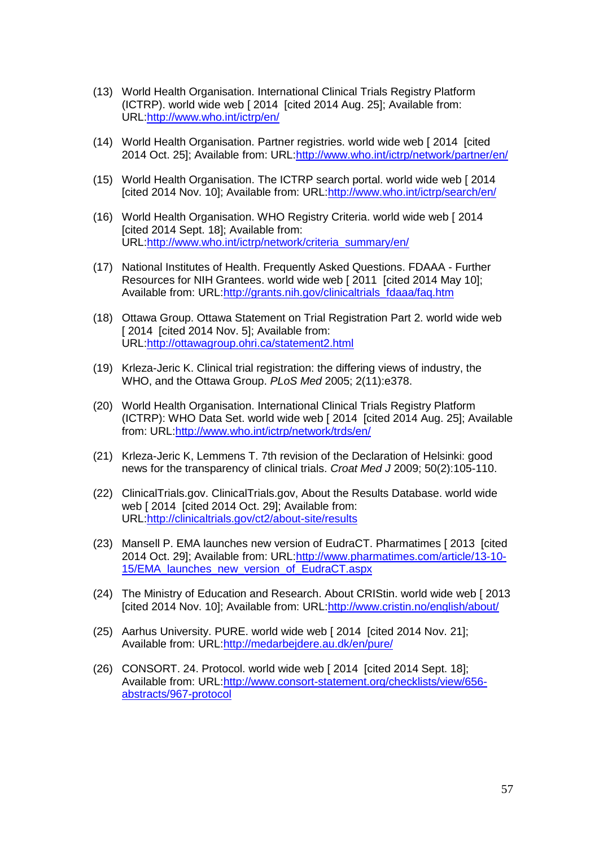- (13) World Health Organisation. International Clinical Trials Registry Platform (ICTRP). world wide web [ 2014 [cited 2014 Aug. 25]; Available from: URL[:http://www.who.int/ictrp/en/](http://www.who.int/ictrp/en/)
- (14) World Health Organisation. Partner registries. world wide web [ 2014 [cited 2014 Oct. 25]; Available from: URL[:http://www.who.int/ictrp/network/partner/en/](http://www.who.int/ictrp/network/partner/en/)
- (15) World Health Organisation. The ICTRP search portal. world wide web [ 2014 [cited 2014 Nov. 10]; Available from: URL[:http://www.who.int/ictrp/search/en/](http://www.who.int/ictrp/search/en/)
- (16) World Health Organisation. WHO Registry Criteria. world wide web [ 2014 [cited 2014 Sept. 18]; Available from: URL[:http://www.who.int/ictrp/network/criteria\\_summary/en/](http://www.who.int/ictrp/network/criteria_summary/en/)
- (17) National Institutes of Health. Frequently Asked Questions. FDAAA Further Resources for NIH Grantees. world wide web [ 2011 [cited 2014 May 10]; Available from: URL[:http://grants.nih.gov/clinicaltrials\\_fdaaa/faq.htm](http://grants.nih.gov/clinicaltrials_fdaaa/faq.htm)
- (18) Ottawa Group. Ottawa Statement on Trial Registration Part 2. world wide web [ 2014 [cited 2014 Nov. 5]; Available from: URL[:http://ottawagroup.ohri.ca/statement2.html](http://ottawagroup.ohri.ca/statement2.html)
- (19) Krleza-Jeric K. Clinical trial registration: the differing views of industry, the WHO, and the Ottawa Group. *PLoS Med* 2005; 2(11):e378.
- (20) World Health Organisation. International Clinical Trials Registry Platform (ICTRP): WHO Data Set. world wide web [ 2014 [cited 2014 Aug. 25]; Available from: URL[:http://www.who.int/ictrp/network/trds/en/](http://www.who.int/ictrp/network/trds/en/)
- (21) Krleza-Jeric K, Lemmens T. 7th revision of the Declaration of Helsinki: good news for the transparency of clinical trials. *Croat Med J* 2009; 50(2):105-110.
- (22) ClinicalTrials.gov. ClinicalTrials.gov, About the Results Database. world wide web [ 2014 [cited 2014 Oct. 29]; Available from: URL[:http://clinicaltrials.gov/ct2/about-site/results](http://clinicaltrials.gov/ct2/about-site/results)
- (23) Mansell P. EMA launches new version of EudraCT. Pharmatimes [ 2013 [cited 2014 Oct. 29]; Available from: URL[:http://www.pharmatimes.com/article/13-10-](http://www.pharmatimes.com/article/13-10-15/EMA_launches_new_version_of_EudraCT.aspx) 15/EMA launches new version of EudraCT.aspx
- (24) The Ministry of Education and Research. About CRIStin. world wide web [ 2013 [cited 2014 Nov. 10]; Available from: URL[:http://www.cristin.no/english/about/](http://www.cristin.no/english/about/)
- (25) Aarhus University. PURE. world wide web [ 2014 [cited 2014 Nov. 21]; Available from: URL[:http://medarbejdere.au.dk/en/pure/](http://medarbejdere.au.dk/en/pure/)
- (26) CONSORT. 24. Protocol. world wide web [ 2014 [cited 2014 Sept. 18]; Available from: URL[:http://www.consort-statement.org/checklists/view/656](http://www.consort-statement.org/checklists/view/656-abstracts/967-protocol) [abstracts/967-protocol](http://www.consort-statement.org/checklists/view/656-abstracts/967-protocol)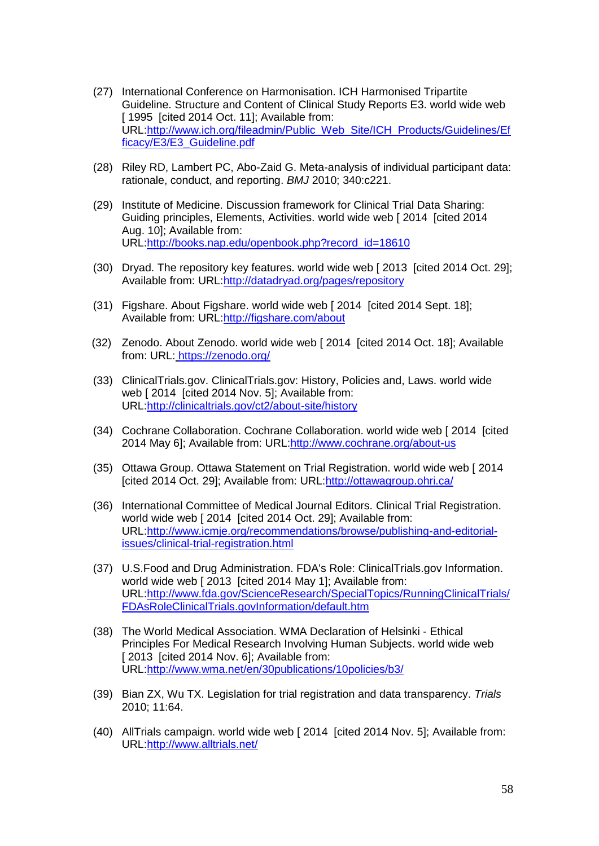- (27) International Conference on Harmonisation. ICH Harmonised Tripartite Guideline. Structure and Content of Clinical Study Reports E3. world wide web [ 1995 [cited 2014 Oct. 11]; Available from: URL[:http://www.ich.org/fileadmin/Public\\_Web\\_Site/ICH\\_Products/Guidelines/Ef](http://www.ich.org/fileadmin/Public_Web_Site/ICH_Products/Guidelines/Efficacy/E3/E3_Guideline.pdf) [ficacy/E3/E3\\_Guideline.pdf](http://www.ich.org/fileadmin/Public_Web_Site/ICH_Products/Guidelines/Efficacy/E3/E3_Guideline.pdf)
- (28) Riley RD, Lambert PC, Abo-Zaid G. Meta-analysis of individual participant data: rationale, conduct, and reporting. *BMJ* 2010; 340:c221.
- (29) Institute of Medicine. Discussion framework for Clinical Trial Data Sharing: Guiding principles, Elements, Activities. world wide web [ 2014 [cited 2014 Aug. 10]; Available from: URL[:http://books.nap.edu/openbook.php?record\\_id=18610](http://books.nap.edu/openbook.php?record_id=18610)
- (30) Dryad. The repository key features. world wide web [ 2013 [cited 2014 Oct. 29]; Available from: URL[:http://datadryad.org/pages/repository](http://datadryad.org/pages/repository)
- (31) Figshare. About Figshare. world wide web [ 2014 [cited 2014 Sept. 18]; Available from: URL[:http://figshare.com/about](http://figshare.com/about)
- (32) Zenodo. About Zenodo. world wide web [ 2014 [cited 2014 Oct. 18]; Available from: URL: <https://zenodo.org/>
- (33) ClinicalTrials.gov. ClinicalTrials.gov: History, Policies and, Laws. world wide web [ 2014 [cited 2014 Nov. 5]; Available from: URL[:http://clinicaltrials.gov/ct2/about-site/history](http://clinicaltrials.gov/ct2/about-site/history)
- (34) Cochrane Collaboration. Cochrane Collaboration. world wide web [ 2014 [cited 2014 May 6]; Available from: URL[:http://www.cochrane.org/about-us](http://www.cochrane.org/about-us)
- (35) Ottawa Group. Ottawa Statement on Trial Registration. world wide web [ 2014 [cited 2014 Oct. 29]; Available from: URL[:http://ottawagroup.ohri.ca/](http://ottawagroup.ohri.ca/)
- (36) International Committee of Medical Journal Editors. Clinical Trial Registration. world wide web [ 2014 [cited 2014 Oct. 29]; Available from: URL[:http://www.icmje.org/recommendations/browse/publishing-and-editorial](http://www.icmje.org/recommendations/browse/publishing-and-editorial-issues/clinical-trial-registration.html)[issues/clinical-trial-registration.html](http://www.icmje.org/recommendations/browse/publishing-and-editorial-issues/clinical-trial-registration.html)
- (37) U.S.Food and Drug Administration. FDA's Role: ClinicalTrials.gov Information. world wide web [ 2013 [cited 2014 May 1]; Available from: URL[:http://www.fda.gov/ScienceResearch/SpecialTopics/RunningClinicalTrials/](http://www.fda.gov/ScienceResearch/SpecialTopics/RunningClinicalTrials/FDAsRoleClinicalTrials.govInformation/default.htm) [FDAsRoleClinicalTrials.govInformation/default.htm](http://www.fda.gov/ScienceResearch/SpecialTopics/RunningClinicalTrials/FDAsRoleClinicalTrials.govInformation/default.htm)
- (38) The World Medical Association. WMA Declaration of Helsinki Ethical Principles For Medical Research Involving Human Subjects. world wide web [ 2013 [cited 2014 Nov. 6]; Available from: URL[:http://www.wma.net/en/30publications/10policies/b3/](http://www.wma.net/en/30publications/10policies/b3/)
- (39) Bian ZX, Wu TX. Legislation for trial registration and data transparency. *Trials* 2010; 11:64.
- (40) AllTrials campaign. world wide web [ 2014 [cited 2014 Nov. 5]; Available from: URL[:http://www.alltrials.net/](http://www.alltrials.net/)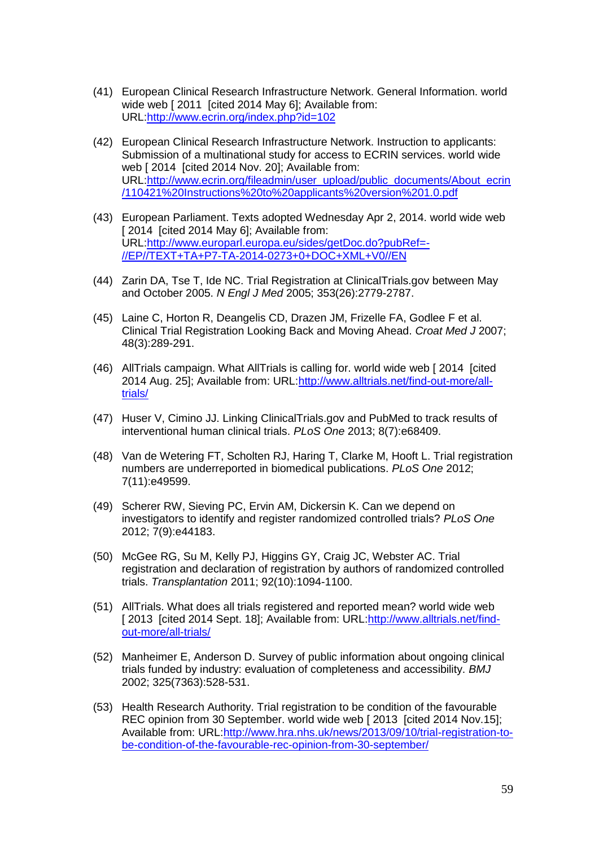- (41) European Clinical Research Infrastructure Network. General Information. world wide web [ 2011 [cited 2014 May 6]; Available from: URL[:http://www.ecrin.org/index.php?id=102](http://www.ecrin.org/index.php?id=102)
- (42) European Clinical Research Infrastructure Network. Instruction to applicants: Submission of a multinational study for access to ECRIN services. world wide web [ 2014 [cited 2014 Nov. 20]; Available from: URL[:http://www.ecrin.org/fileadmin/user\\_upload/public\\_documents/About\\_ecrin](http://www.ecrin.org/fileadmin/user_upload/public_documents/About_ecrin/110421%20Instructions%20to%20applicants%20version%201.0.pdf) [/110421%20Instructions%20to%20applicants%20version%201.0.pdf](http://www.ecrin.org/fileadmin/user_upload/public_documents/About_ecrin/110421%20Instructions%20to%20applicants%20version%201.0.pdf)
- (43) European Parliament. Texts adopted Wednesday Apr 2, 2014. world wide web [ 2014 [cited 2014 May 6]; Available from: URL[:http://www.europarl.europa.eu/sides/getDoc.do?pubRef=-](http://www.europarl.europa.eu/sides/getDoc.do?pubRef=-//EP//TEXT+TA+P7-TA-2014-0273+0+DOC+XML+V0//EN) [//EP//TEXT+TA+P7-TA-2014-0273+0+DOC+XML+V0//EN](http://www.europarl.europa.eu/sides/getDoc.do?pubRef=-//EP//TEXT+TA+P7-TA-2014-0273+0+DOC+XML+V0//EN)
- (44) Zarin DA, Tse T, Ide NC. Trial Registration at ClinicalTrials.gov between May and October 2005. *N Engl J Med* 2005; 353(26):2779-2787.
- (45) Laine C, Horton R, Deangelis CD, Drazen JM, Frizelle FA, Godlee F et al. Clinical Trial Registration Looking Back and Moving Ahead. *Croat Med J* 2007; 48(3):289-291.
- (46) AllTrials campaign. What AllTrials is calling for. world wide web [ 2014 [cited 2014 Aug. 25]; Available from: URL[:http://www.alltrials.net/find-out-more/all](http://www.alltrials.net/find-out-more/all-trials/)[trials/](http://www.alltrials.net/find-out-more/all-trials/)
- (47) Huser V, Cimino JJ. Linking ClinicalTrials.gov and PubMed to track results of interventional human clinical trials. *PLoS One* 2013; 8(7):e68409.
- (48) Van de Wetering FT, Scholten RJ, Haring T, Clarke M, Hooft L. Trial registration numbers are underreported in biomedical publications. *PLoS One* 2012; 7(11):e49599.
- (49) Scherer RW, Sieving PC, Ervin AM, Dickersin K. Can we depend on investigators to identify and register randomized controlled trials? *PLoS One* 2012; 7(9):e44183.
- (50) McGee RG, Su M, Kelly PJ, Higgins GY, Craig JC, Webster AC. Trial registration and declaration of registration by authors of randomized controlled trials. *Transplantation* 2011; 92(10):1094-1100.
- (51) AllTrials. What does all trials registered and reported mean? world wide web [ 2013 [cited 2014 Sept. 18]; Available from: URL[:http://www.alltrials.net/find](http://www.alltrials.net/find-out-more/all-trials/)[out-more/all-trials/](http://www.alltrials.net/find-out-more/all-trials/)
- (52) Manheimer E, Anderson D. Survey of public information about ongoing clinical trials funded by industry: evaluation of completeness and accessibility. *BMJ* 2002; 325(7363):528-531.
- (53) Health Research Authority. Trial registration to be condition of the favourable REC opinion from 30 September. world wide web [2013 [cited 2014 Nov.15]; Available from: URL[:http://www.hra.nhs.uk/news/2013/09/10/trial-registration-to](http://www.hra.nhs.uk/news/2013/09/10/trial-registration-to-be-condition-of-the-favourable-rec-opinion-from-30-september/)[be-condition-of-the-favourable-rec-opinion-from-30-september/](http://www.hra.nhs.uk/news/2013/09/10/trial-registration-to-be-condition-of-the-favourable-rec-opinion-from-30-september/)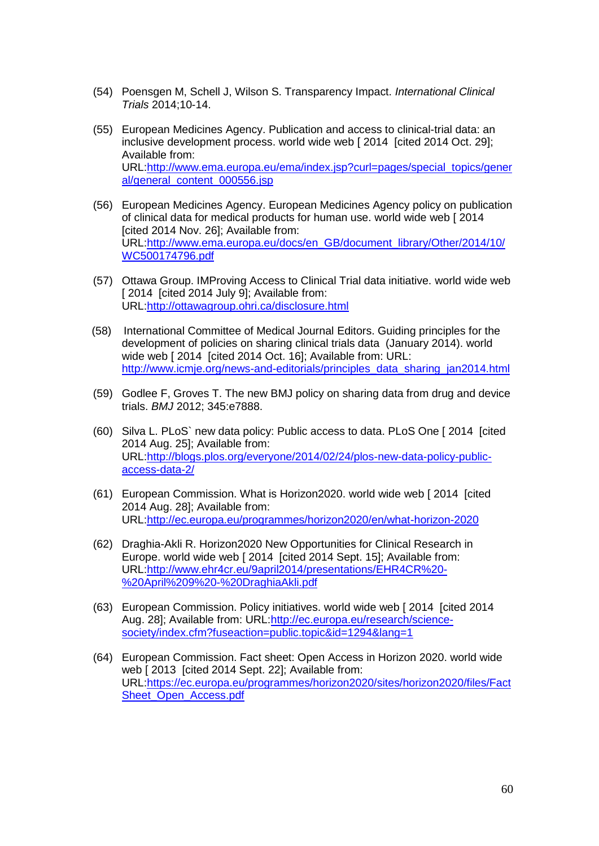- (54) Poensgen M, Schell J, Wilson S. Transparency Impact. *International Clinical Trials* 2014;10-14.
- (55) European Medicines Agency. Publication and access to clinical-trial data: an inclusive development process. world wide web [ 2014 [cited 2014 Oct. 29]; Available from: URL[:http://www.ema.europa.eu/ema/index.jsp?curl=pages/special\\_topics/gener](http://www.ema.europa.eu/ema/index.jsp?curl=pages/special_topics/general/general_content_000556.jsp) [al/general\\_content\\_000556.jsp](http://www.ema.europa.eu/ema/index.jsp?curl=pages/special_topics/general/general_content_000556.jsp)
- (56) European Medicines Agency. European Medicines Agency policy on publication of clinical data for medical products for human use. world wide web [ 2014 [cited 2014 Nov. 26]; Available from: URL[:http://www.ema.europa.eu/docs/en\\_GB/document\\_library/Other/2014/10/](http://www.ema.europa.eu/docs/en_GB/document_library/Other/2014/10/WC500174796.pdf) [WC500174796.pdf](http://www.ema.europa.eu/docs/en_GB/document_library/Other/2014/10/WC500174796.pdf)
- (57) Ottawa Group. IMProving Access to Clinical Trial data initiative. world wide web [ 2014 [cited 2014 July 9]: Available from: URL[:http://ottawagroup.ohri.ca/disclosure.html](http://ottawagroup.ohri.ca/disclosure.html)
- (58) International Committee of Medical Journal Editors. Guiding principles for the development of policies on sharing clinical trials data (January 2014). world wide web [ 2014 [cited 2014 Oct. 16]; Available from: URL: [http://www.icmje.org/news-and-editorials/principles\\_data\\_sharing\\_jan2014.html](http://www.icmje.org/news-and-editorials/principles_data_sharing_jan2014.html)
- (59) Godlee F, Groves T. The new BMJ policy on sharing data from drug and device trials. *BMJ* 2012; 345:e7888.
- (60) Silva L. PLoS` new data policy: Public access to data. PLoS One [ 2014 [cited 2014 Aug. 25]; Available from: URL[:http://blogs.plos.org/everyone/2014/02/24/plos-new-data-policy-public](http://blogs.plos.org/everyone/2014/02/24/plos-new-data-policy-public-access-data-2/)[access-data-2/](http://blogs.plos.org/everyone/2014/02/24/plos-new-data-policy-public-access-data-2/)
- (61) European Commission. What is Horizon2020. world wide web [ 2014 [cited 2014 Aug. 28]; Available from: URL[:http://ec.europa.eu/programmes/horizon2020/en/what-horizon-2020](http://ec.europa.eu/programmes/horizon2020/en/what-horizon-2020)
- (62) Draghia-Akli R. Horizon2020 New Opportunities for Clinical Research in Europe. world wide web [ 2014 [cited 2014 Sept. 15]; Available from: URL[:http://www.ehr4cr.eu/9april2014/presentations/EHR4CR%20-](http://www.ehr4cr.eu/9april2014/presentations/EHR4CR%20-%20April%209%20-%20DraghiaAkli.pdf) [%20April%209%20-%20DraghiaAkli.pdf](http://www.ehr4cr.eu/9april2014/presentations/EHR4CR%20-%20April%209%20-%20DraghiaAkli.pdf)
- (63) European Commission. Policy initiatives. world wide web [ 2014 [cited 2014 Aug. 28]; Available from: URL[:http://ec.europa.eu/research/science](http://ec.europa.eu/research/science-society/index.cfm?fuseaction=public.topic&id=1294&lang=1)[society/index.cfm?fuseaction=public.topic&id=1294&lang=1](http://ec.europa.eu/research/science-society/index.cfm?fuseaction=public.topic&id=1294&lang=1)
- (64) European Commission. Fact sheet: Open Access in Horizon 2020. world wide web [ 2013 [cited 2014 Sept. 22]; Available from: URL[:https://ec.europa.eu/programmes/horizon2020/sites/horizon2020/files/Fact](https://ec.europa.eu/programmes/horizon2020/sites/horizon2020/files/FactSheet_Open_Access.pdf) Sheet Open Access.pdf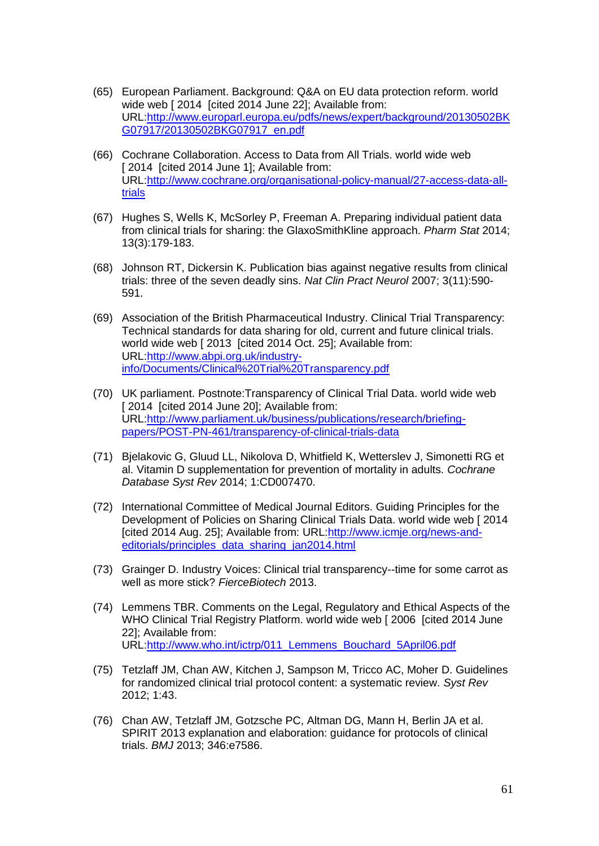- (65) European Parliament. Background: Q&A on EU data protection reform. world wide web [ 2014 [cited 2014 June 22]; Available from: URL[:http://www.europarl.europa.eu/pdfs/news/expert/background/20130502BK](http://www.europarl.europa.eu/pdfs/news/expert/background/20130502BKG07917/20130502BKG07917_en.pdf) [G07917/20130502BKG07917\\_en.pdf](http://www.europarl.europa.eu/pdfs/news/expert/background/20130502BKG07917/20130502BKG07917_en.pdf)
- (66) Cochrane Collaboration. Access to Data from All Trials. world wide web [ 2014 [cited 2014 June 1]; Available from: URL[:http://www.cochrane.org/organisational-policy-manual/27-access-data-all](http://www.cochrane.org/organisational-policy-manual/27-access-data-all-trials)[trials](http://www.cochrane.org/organisational-policy-manual/27-access-data-all-trials)
- (67) Hughes S, Wells K, McSorley P, Freeman A. Preparing individual patient data from clinical trials for sharing: the GlaxoSmithKline approach. *Pharm Stat* 2014; 13(3):179-183.
- (68) Johnson RT, Dickersin K. Publication bias against negative results from clinical trials: three of the seven deadly sins. *Nat Clin Pract Neurol* 2007; 3(11):590- 591.
- (69) Association of the British Pharmaceutical Industry. Clinical Trial Transparency: Technical standards for data sharing for old, current and future clinical trials. world wide web [ 2013 [cited 2014 Oct. 25]; Available from: URL[:http://www.abpi.org.uk/industry](http://www.abpi.org.uk/industry-info/Documents/Clinical%20Trial%20Transparency.pdf)[info/Documents/Clinical%20Trial%20Transparency.pdf](http://www.abpi.org.uk/industry-info/Documents/Clinical%20Trial%20Transparency.pdf)
- (70) UK parliament. Postnote:Transparency of Clinical Trial Data. world wide web [ 2014 [cited 2014 June 20]; Available from: URL[:http://www.parliament.uk/business/publications/research/briefing](http://www.parliament.uk/business/publications/research/briefing-papers/POST-PN-461/transparency-of-clinical-trials-data)[papers/POST-PN-461/transparency-of-clinical-trials-data](http://www.parliament.uk/business/publications/research/briefing-papers/POST-PN-461/transparency-of-clinical-trials-data)
- (71) Bjelakovic G, Gluud LL, Nikolova D, Whitfield K, Wetterslev J, Simonetti RG et al. Vitamin D supplementation for prevention of mortality in adults. *Cochrane Database Syst Rev* 2014; 1:CD007470.
- (72) International Committee of Medical Journal Editors. Guiding Principles for the Development of Policies on Sharing Clinical Trials Data. world wide web [ 2014 [cited 2014 Aug. 25]; Available from: URL[:http://www.icmje.org/news-and](http://www.icmje.org/news-and-editorials/principles_data_sharing_jan2014.html)[editorials/principles\\_data\\_sharing\\_jan2014.html](http://www.icmje.org/news-and-editorials/principles_data_sharing_jan2014.html)
- (73) Grainger D. Industry Voices: Clinical trial transparency--time for some carrot as well as more stick? *FierceBiotech* 2013.
- (74) Lemmens TBR. Comments on the Legal, Regulatory and Ethical Aspects of the WHO Clinical Trial Registry Platform. world wide web [ 2006 [cited 2014 June 22]; Available from: URL[:http://www.who.int/ictrp/011\\_Lemmens\\_Bouchard\\_5April06.pdf](http://www.who.int/ictrp/011_Lemmens_Bouchard_5April06.pdf)
- (75) Tetzlaff JM, Chan AW, Kitchen J, Sampson M, Tricco AC, Moher D. Guidelines for randomized clinical trial protocol content: a systematic review. *Syst Rev* 2012; 1:43.
- (76) Chan AW, Tetzlaff JM, Gotzsche PC, Altman DG, Mann H, Berlin JA et al. SPIRIT 2013 explanation and elaboration: guidance for protocols of clinical trials. *BMJ* 2013; 346:e7586.